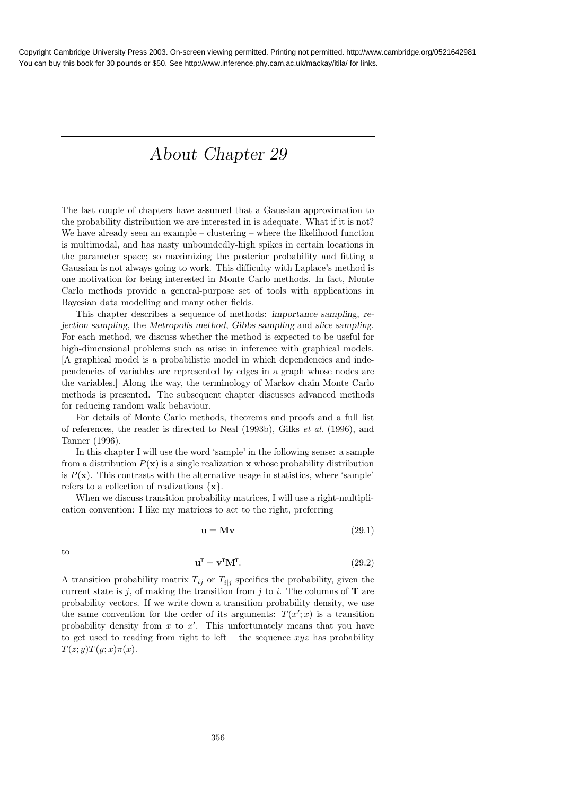# About Chapter 29

The last couple of chapters have assumed that a Gaussian approximation to the probability distribution we are interested in is adequate. What if it is not? We have already seen an example – clustering – where the likelihood function is multimodal, and has nasty unboundedly-high spikes in certain locations in the parameter space; so maximizing the posterior probability and fitting a Gaussian is not always going to work. This difficulty with Laplace's method is one motivation for being interested in Monte Carlo methods. In fact, Monte Carlo methods provide a general-purpose set of tools with applications in Bayesian data modelling and many other fields.

This chapter describes a sequence of methods: importance sampling, rejection sampling, the Metropolis method, Gibbs sampling and slice sampling. For each method, we discuss whether the method is expected to be useful for high-dimensional problems such as arise in inference with graphical models. [A graphical model is a probabilistic model in which dependencies and independencies of variables are represented by edges in a graph whose nodes are the variables.] Along the way, the terminology of Markov chain Monte Carlo methods is presented. The subsequent chapter discusses advanced methods for reducing random walk behaviour.

For details of Monte Carlo methods, theorems and proofs and a full list of references, the reader is directed to Neal (1993b), Gilks et al. (1996), and Tanner (1996).

In this chapter I will use the word 'sample' in the following sense: a sample from a distribution  $P(x)$  is a single realization x whose probability distribution is  $P(\mathbf{x})$ . This contrasts with the alternative usage in statistics, where 'sample' refers to a collection of realizations  $\{x\}$ .

When we discuss transition probability matrices, I will use a right-multiplication convention: I like my matrices to act to the right, preferring

$$
\mathbf{u} = \mathbf{M}\mathbf{v} \tag{29.1}
$$

$$
f_{\rm{max}}
$$

$$
\mathbf{u}^{\mathsf{T}} = \mathbf{v}^{\mathsf{T}} \mathbf{M}^{\mathsf{T}}.\tag{29.2}
$$

A transition probability matrix  $T_{ij}$  or  $T_{ij}$  specifies the probability, given the current state is j, of making the transition from j to i. The columns of  $T$  are probability vectors. If we write down a transition probability density, we use the same convention for the order of its arguments:  $T(x';x)$  is a transition probability density from  $x$  to  $x'$ . This unfortunately means that you have to get used to reading from right to left – the sequence  $xyz$  has probability  $T(z; y)T(y; x)\pi(x)$ .

to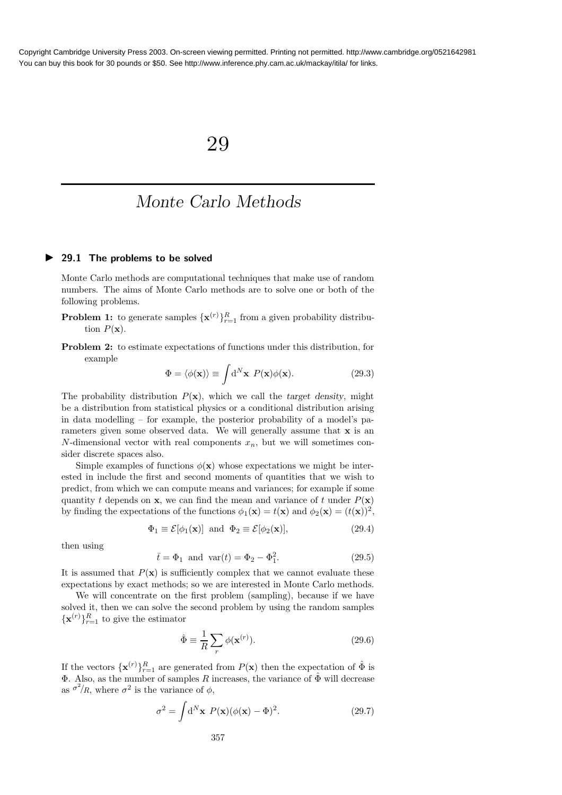# 29

# Monte Carlo Methods

# ▶ 29.1 The problems to be solved

Monte Carlo methods are computational techniques that make use of random numbers. The aims of Monte Carlo methods are to solve one or both of the following problems.

**Problem 1:** to generate samples  $\{x^{(r)}\}_{r=1}^R$  from a given probability distribution  $P(\mathbf{x})$ .

Problem 2: to estimate expectations of functions under this distribution, for example

$$
\Phi = \langle \phi(\mathbf{x}) \rangle \equiv \int d^N \mathbf{x} \ P(\mathbf{x}) \phi(\mathbf{x}). \tag{29.3}
$$

The probability distribution  $P(x)$ , which we call the target density, might be a distribution from statistical physics or a conditional distribution arising in data modelling – for example, the posterior probability of a model's parameters given some observed data. We will generally assume that  $x$  is an N-dimensional vector with real components  $x_n$ , but we will sometimes consider discrete spaces also.

Simple examples of functions  $\phi(\mathbf{x})$  whose expectations we might be interested in include the first and second moments of quantities that we wish to predict, from which we can compute means and variances; for example if some quantity t depends on **x**, we can find the mean and variance of t under  $P(\mathbf{x})$ by finding the expectations of the functions  $\phi_1(\mathbf{x}) = t(\mathbf{x})$  and  $\phi_2(\mathbf{x}) = (t(\mathbf{x}))^2$ ,

$$
\Phi_1 \equiv \mathcal{E}[\phi_1(\mathbf{x})] \text{ and } \Phi_2 \equiv \mathcal{E}[\phi_2(\mathbf{x})], \tag{29.4}
$$

then using

$$
\bar{t} = \Phi_1
$$
 and  $\text{var}(t) = \Phi_2 - \Phi_1^2$ . (29.5)

It is assumed that  $P(x)$  is sufficiently complex that we cannot evaluate these expectations by exact methods; so we are interested in Monte Carlo methods.

We will concentrate on the first problem (sampling), because if we have solved it, then we can solve the second problem by using the random samples  $\{\mathbf x^{(r)}\}_{r=1}^R$  to give the estimator

$$
\hat{\Phi} \equiv \frac{1}{R} \sum_{r} \phi(\mathbf{x}^{(r)}).
$$
\n(29.6)

If the vectors  $\{\mathbf{x}^{(r)}\}_{r=1}^R$  are generated from  $P(\mathbf{x})$  then the expectation of  $\hat{\Phi}$  is Φ. Also, as the number of samples R increases, the variance of  $\hat{\Phi}$  will decrease as  $\sigma^2/R$ , where  $\sigma^2$  is the variance of  $\phi$ ,

$$
\sigma^2 = \int d^N \mathbf{x} \ P(\mathbf{x}) (\phi(\mathbf{x}) - \Phi)^2.
$$
 (29.7)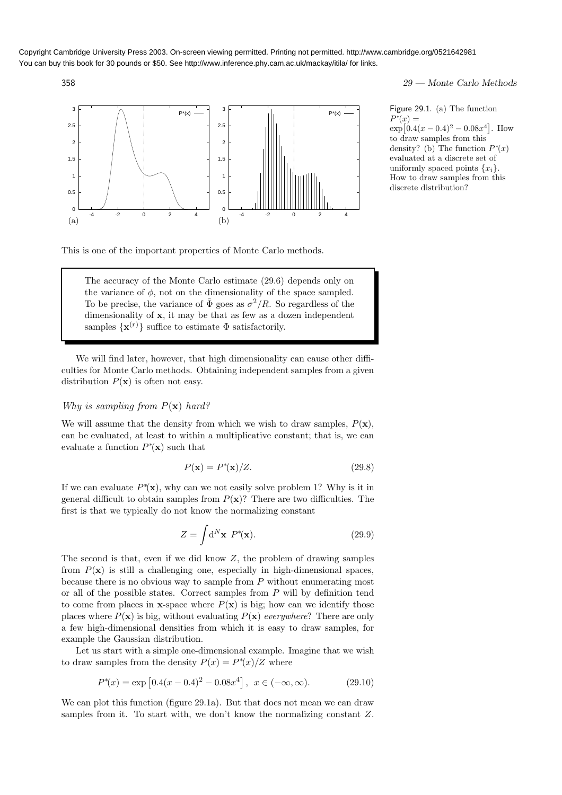358 29 — Monte Carlo Methods

 $\exp[0.4(x-0.4)^2 - 0.08x^4]$ . How to draw samples from this density? (b) The function  $P^*(x)$ evaluated at a discrete set of uniformly spaced points  $\{x_i\}.$ How to draw samples from this

discrete distribution?

 $\widetilde{P^*}(x) =$ 



This is one of the important properties of Monte Carlo methods.

The accuracy of the Monte Carlo estimate (29.6) depends only on the variance of  $\phi$ , not on the dimensionality of the space sampled. To be precise, the variance of  $\hat{\Phi}$  goes as  $\sigma^2/R$ . So regardless of the dimensionality of  $x$ , it may be that as few as a dozen independent samples  $\{\mathbf{x}^{(r)}\}$  suffice to estimate  $\Phi$  satisfactorily.

We will find later, however, that high dimensionality can cause other difficulties for Monte Carlo methods. Obtaining independent samples from a given distribution  $P(x)$  is often not easy.

# Why is sampling from  $P(x)$  hard?

We will assume that the density from which we wish to draw samples,  $P(\mathbf{x})$ , can be evaluated, at least to within a multiplicative constant; that is, we can evaluate a function  $P^*(\mathbf{x})$  such that

$$
P(\mathbf{x}) = P^*(\mathbf{x})/Z.
$$
 (29.8)

If we can evaluate  $P^*(\mathbf{x})$ , why can we not easily solve problem 1? Why is it in general difficult to obtain samples from  $P(x)$ ? There are two difficulties. The first is that we typically do not know the normalizing constant

$$
Z = \int d^N \mathbf{x} \ P^*(\mathbf{x}). \tag{29.9}
$$

The second is that, even if we did know  $Z$ , the problem of drawing samples from  $P(x)$  is still a challenging one, especially in high-dimensional spaces, because there is no obvious way to sample from P without enumerating most or all of the possible states. Correct samples from  $P$  will by definition tend to come from places in **x**-space where  $P(\mathbf{x})$  is big; how can we identify those places where  $P(\mathbf{x})$  is big, without evaluating  $P(\mathbf{x})$  everywhere? There are only a few high-dimensional densities from which it is easy to draw samples, for example the Gaussian distribution.

Let us start with a simple one-dimensional example. Imagine that we wish to draw samples from the density  $P(x) = P^*(x)/Z$  where

$$
P^*(x) = \exp\left[0.4(x - 0.4)^2 - 0.08x^4\right], \ x \in (-\infty, \infty). \tag{29.10}
$$

We can plot this function (figure 29.1a). But that does not mean we can draw samples from it. To start with, we don't know the normalizing constant Z.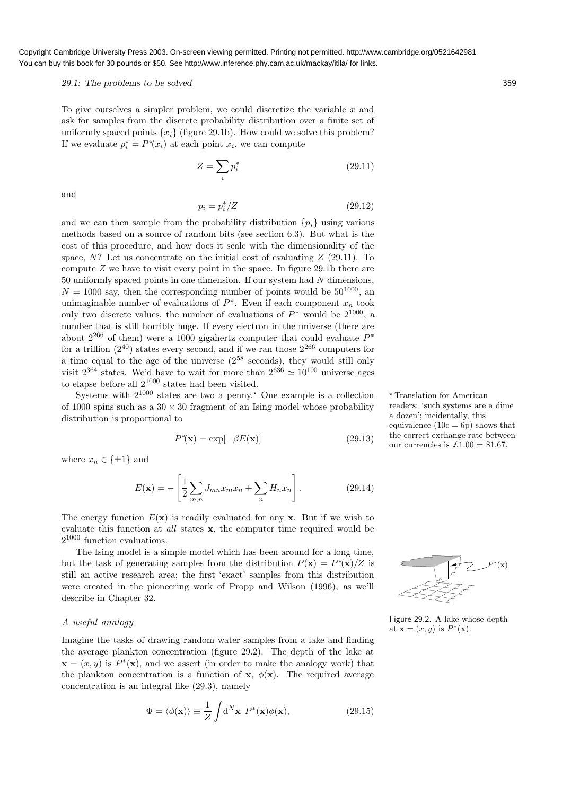#### 29.1: The problems to be solved 359

To give ourselves a simpler problem, we could discretize the variable  $x$  and ask for samples from the discrete probability distribution over a finite set of uniformly spaced points  $\{x_i\}$  (figure 29.1b). How could we solve this problem? If we evaluate  $p_i^* = P^*(x_i)$  at each point  $x_i$ , we can compute

$$
Z = \sum_{i} p_i^* \tag{29.11}
$$

and

$$
p_i = p_i^*/Z \tag{29.12}
$$

and we can then sample from the probability distribution  $\{p_i\}$  using various methods based on a source of random bits (see section 6.3). But what is the cost of this procedure, and how does it scale with the dimensionality of the space,  $N$ ? Let us concentrate on the initial cost of evaluating  $Z$  (29.11). To compute  $Z$  we have to visit every point in the space. In figure 29.1b there are 50 uniformly spaced points in one dimension. If our system had N dimensions,  $N = 1000$  say, then the corresponding number of points would be  $50^{1000}$ , an unimaginable number of evaluations of  $P^*$ . Even if each component  $x_n$  took only two discrete values, the number of evaluations of  $P^*$  would be  $2^{1000}$ , a number that is still horribly huge. If every electron in the universe (there are about  $2^{266}$  of them) were a 1000 gigahertz computer that could evaluate  $P^*$ for a trillion  $(2^{40})$  states every second, and if we ran those  $2^{266}$  computers for a time equal to the age of the universe  $(2^{58}$  seconds), they would still only visit  $2^{364}$  states. We'd have to wait for more than  $2^{636} \simeq 10^{190}$  universe ages to elapse before all 2 <sup>1000</sup> states had been visited.

Systems with  $2^{1000}$  states are two a penny.<sup>\*</sup> One example is a collection  $\phantom{0}$  \* Translation for American of 1000 spins such as a  $30 \times 30$  fragment of an Ising model whose probability distribution is proportional to

$$
P^*(\mathbf{x}) = \exp[-\beta E(\mathbf{x})] \tag{29.13}
$$

where  $x_n \in {\pm 1}$  and

$$
E(\mathbf{x}) = -\left[\frac{1}{2}\sum_{m,n}J_{mn}x_mx_n + \sum_n H_nx_n\right].
$$
 (29.14)

The energy function  $E(\mathbf{x})$  is readily evaluated for any **x**. But if we wish to evaluate this function at all states x, the computer time required would be 2 <sup>1000</sup> function evaluations.

The Ising model is a simple model which has been around for a long time, but the task of generating samples from the distribution  $P(\mathbf{x}) = P^*(\mathbf{x})/Z$  is still an active research area; the first 'exact' samples from this distribution were created in the pioneering work of Propp and Wilson (1996), as we'll describe in Chapter 32.

# A useful analogy

Imagine the tasks of drawing random water samples from a lake and finding the average plankton concentration (figure 29.2). The depth of the lake at  $\mathbf{x} = (x, y)$  is  $P^*(\mathbf{x})$ , and we assert (in order to make the analogy work) that the plankton concentration is a function of  $\mathbf{x}, \phi(\mathbf{x})$ . The required average concentration is an integral like (29.3), namely

$$
\Phi = \langle \phi(\mathbf{x}) \rangle \equiv \frac{1}{Z} \int d^N \mathbf{x} \ P^*(\mathbf{x}) \phi(\mathbf{x}), \tag{29.15}
$$



Figure 29.2. A lake whose depth at  $\mathbf{x} = (x, y)$  is  $P^*(\mathbf{x})$ .

readers: 'such systems are a dime a dozen'; incidentally, this equivalence  $(10c = 6p)$  shows that the correct exchange rate between our currencies is  $\pounds 1.00 = \$1.67$ .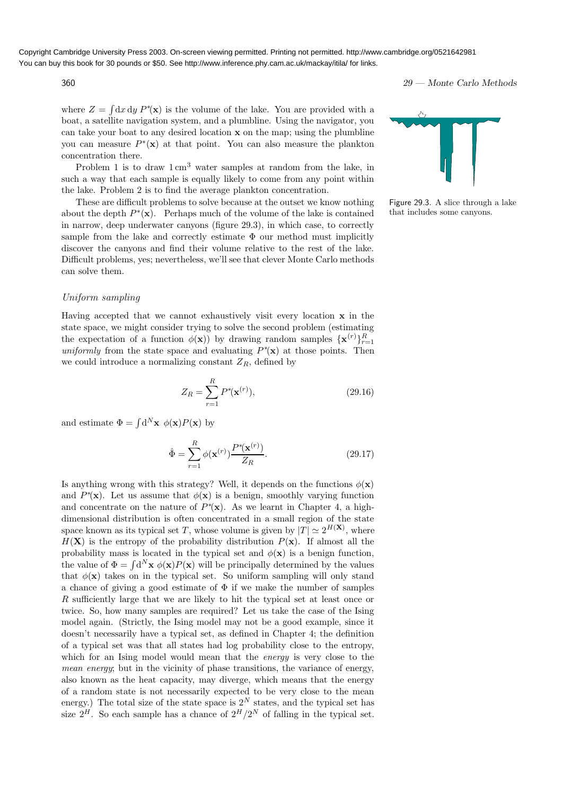#### 360 29 — Monte Carlo Methods

where  $Z = \int dx dy P^*(x)$  is the volume of the lake. You are provided with a boat, a satellite navigation system, and a plumbline. Using the navigator, you can take your boat to any desired location  $x$  on the map; using the plumbline you can measure  $P^*(\mathbf{x})$  at that point. You can also measure the plankton concentration there.

Problem 1 is to draw  $1 \text{ cm}^3$  water samples at random from the lake, in such a way that each sample is equally likely to come from any point within the lake. Problem 2 is to find the average plankton concentration.

These are difficult problems to solve because at the outset we know nothing about the depth  $P^*(\mathbf{x})$ . Perhaps much of the volume of the lake is contained in narrow, deep underwater canyons (figure 29.3), in which case, to correctly sample from the lake and correctly estimate  $\Phi$  our method must implicitly discover the canyons and find their volume relative to the rest of the lake. Difficult problems, yes; nevertheless, we'll see that clever Monte Carlo methods can solve them.

# Uniform sampling

Having accepted that we cannot exhaustively visit every location x in the state space, we might consider trying to solve the second problem (estimating the expectation of a function  $\phi(\mathbf{x})$  by drawing random samples  $\{\mathbf{x}^{(r)}\}_{r=1}^R$ uniformly from the state space and evaluating  $P^*(\mathbf{x})$  at those points. Then we could introduce a normalizing constant  $Z_R$ , defined by

$$
Z_R = \sum_{r=1}^{R} P^*(\mathbf{x}^{(r)}),
$$
 (29.16)

and estimate  $\Phi = \int d^N \mathbf{x} \phi(\mathbf{x}) P(\mathbf{x})$  by

$$
\hat{\Phi} = \sum_{r=1}^{R} \phi(\mathbf{x}^{(r)}) \frac{P^*(\mathbf{x}^{(r)})}{Z_R}.
$$
\n(29.17)

Is anything wrong with this strategy? Well, it depends on the functions  $\phi(\mathbf{x})$ and  $P^*(\mathbf{x})$ . Let us assume that  $\phi(\mathbf{x})$  is a benign, smoothly varying function and concentrate on the nature of  $P^*(\mathbf{x})$ . As we learnt in Chapter 4, a highdimensional distribution is often concentrated in a small region of the state space known as its typical set T, whose volume is given by  $|T| \simeq 2^{H(\mathbf{X})}$ , where  $H(\mathbf{X})$  is the entropy of the probability distribution  $P(\mathbf{x})$ . If almost all the probability mass is located in the typical set and  $\phi(\mathbf{x})$  is a benign function, the value of  $\Phi = \int d^N \mathbf{x} \phi(\mathbf{x}) P(\mathbf{x})$  will be principally determined by the values that  $\phi(\mathbf{x})$  takes on in the typical set. So uniform sampling will only stand a chance of giving a good estimate of  $\Phi$  if we make the number of samples R sufficiently large that we are likely to hit the typical set at least once or twice. So, how many samples are required? Let us take the case of the Ising model again. (Strictly, the Ising model may not be a good example, since it doesn't necessarily have a typical set, as defined in Chapter 4; the definition of a typical set was that all states had log probability close to the entropy, which for an Ising model would mean that the *energy* is very close to the mean energy; but in the vicinity of phase transitions, the variance of energy, also known as the heat capacity, may diverge, which means that the energy of a random state is not necessarily expected to be very close to the mean energy.) The total size of the state space is  $2^N$  states, and the typical set has size  $2^H$ . So each sample has a chance of  $2^H/2^N$  of falling in the typical set.



Figure 29.3. A slice through a lake that includes some canyons.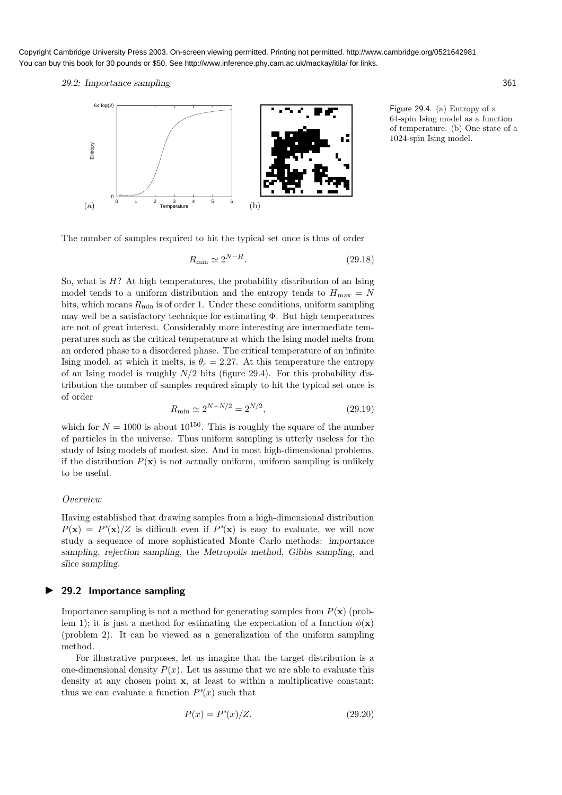29.2: Importance sampling 361



Figure 29.4. (a) Entropy of a 64-spin Ising model as a function of temperature. (b) One state of a 1024-spin Ising model.

The number of samples required to hit the typical set once is thus of order

$$
R_{\min} \simeq 2^{N-H}.\tag{29.18}
$$

So, what is  $H$ ? At high temperatures, the probability distribution of an Ising model tends to a uniform distribution and the entropy tends to  $H_{\text{max}} = N$ bits, which means  $R_{\text{min}}$  is of order 1. Under these conditions, uniform sampling may well be a satisfactory technique for estimating  $\Phi$ . But high temperatures are not of great interest. Considerably more interesting are intermediate temperatures such as the critical temperature at which the Ising model melts from an ordered phase to a disordered phase. The critical temperature of an infinite Ising model, at which it melts, is  $\theta_c = 2.27$ . At this temperature the entropy of an Ising model is roughly  $N/2$  bits (figure 29.4). For this probability distribution the number of samples required simply to hit the typical set once is of order

$$
R_{\min} \simeq 2^{N - N/2} = 2^{N/2},\tag{29.19}
$$

which for  $N = 1000$  is about  $10^{150}$ . This is roughly the square of the number of particles in the universe. Thus uniform sampling is utterly useless for the study of Ising models of modest size. And in most high-dimensional problems, if the distribution  $P(x)$  is not actually uniform, uniform sampling is unlikely to be useful.

#### Overview

Having established that drawing samples from a high-dimensional distribution  $P(\mathbf{x}) = P^*(\mathbf{x})/Z$  is difficult even if  $P^*(\mathbf{x})$  is easy to evaluate, we will now study a sequence of more sophisticated Monte Carlo methods: importance sampling, rejection sampling, the Metropolis method, Gibbs sampling, and slice sampling.

# ▶ 29.2 Importance sampling

Importance sampling is not a method for generating samples from  $P(\mathbf{x})$  (problem 1); it is just a method for estimating the expectation of a function  $\phi(\mathbf{x})$ (problem 2). It can be viewed as a generalization of the uniform sampling method.

For illustrative purposes, let us imagine that the target distribution is a one-dimensional density  $P(x)$ . Let us assume that we are able to evaluate this density at any chosen point x, at least to within a multiplicative constant; thus we can evaluate a function  $P^*(x)$  such that

$$
P(x) = P^*(x)/Z.
$$
 (29.20)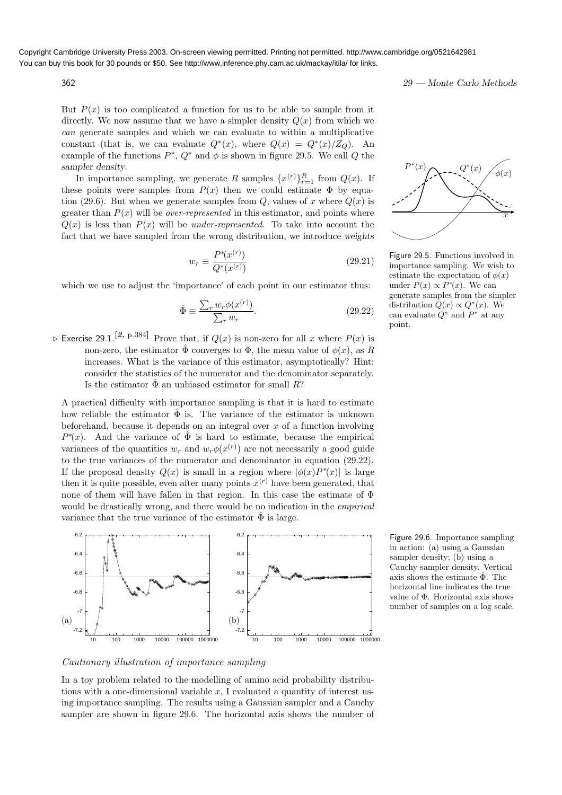362 29 — Monte Carlo Methods

But  $P(x)$  is too complicated a function for us to be able to sample from it directly. We now assume that we have a simpler density  $Q(x)$  from which we can generate samples and which we can evaluate to within a multiplicative constant (that is, we can evaluate  $Q^*(x)$ , where  $Q(x) = Q^*(x)/Z_Q$ ). An example of the functions  $P^*$ ,  $Q^*$  and  $\phi$  is shown in figure 29.5. We call  $Q$  the sampler density.

In importance sampling, we generate R samples  $\{x^{(r)}\}_{r=1}^R$  from  $Q(x)$ . If these points were samples from  $P(x)$  then we could estimate  $\Phi$  by equation (29.6). But when we generate samples from  $Q$ , values of x where  $Q(x)$  is greater than  $P(x)$  will be *over-represented* in this estimator, and points where  $Q(x)$  is less than  $P(x)$  will be *under-represented*. To take into account the fact that we have sampled from the wrong distribution, we introduce weights

$$
w_r \equiv \frac{P^*(x^{(r)})}{Q^*(x^{(r)})} \tag{29.21}
$$

which we use to adjust the 'importance' of each point in our estimator thus:

$$
\hat{\Phi} \equiv \frac{\sum_{r} w_r \phi(x^{(r)})}{\sum_{r} w_r}.
$$
\n(29.22)

 $\triangleright$  Exercise 29.1.<sup>[2, p.384]</sup> Prove that, if  $Q(x)$  is non-zero for all x where  $P(x)$  is non-zero, the estimator  $\hat{\Phi}$  converges to  $\Phi$ , the mean value of  $\phi(x)$ , as R increases. What is the variance of this estimator, asymptotically? Hint: consider the statistics of the numerator and the denominator separately. Is the estimator  $\hat{\Phi}$  an unbiased estimator for small R?

A practical difficulty with importance sampling is that it is hard to estimate how reliable the estimator  $\hat{\Phi}$  is. The variance of the estimator is unknown beforehand, because it depends on an integral over  $x$  of a function involving  $P^*(x)$ . And the variance of  $\hat{\Phi}$  is hard to estimate, because the empirical variances of the quantities  $w_r$  and  $w_r \phi(x^{(r)})$  are not necessarily a good guide to the true variances of the numerator and denominator in equation (29.22). If the proposal density  $Q(x)$  is small in a region where  $|\phi(x)P^*(x)|$  is large then it is quite possible, even after many points  $x^{(r)}$  have been generated, that none of them will have fallen in that region. In this case the estimate of Φ would be drastically wrong, and there would be no indication in the *empirical* variance that the true variance of the estimator  $\hat{\Phi}$  is large.



Figure 29.6. Importance sampling in action: (a) using a Gaussian sampler density; (b) using a Cauchy sampler density. Vertical axis shows the estimate  $\Phi$ . The horizontal line indicates the true value of Φ. Horizontal axis shows number of samples on a log scale.

Cautionary illustration of importance sampling

In a toy problem related to the modelling of amino acid probability distributions with a one-dimensional variable  $x$ , I evaluated a quantity of interest using importance sampling. The results using a Gaussian sampler and a Cauchy sampler are shown in figure 29.6. The horizontal axis shows the number of



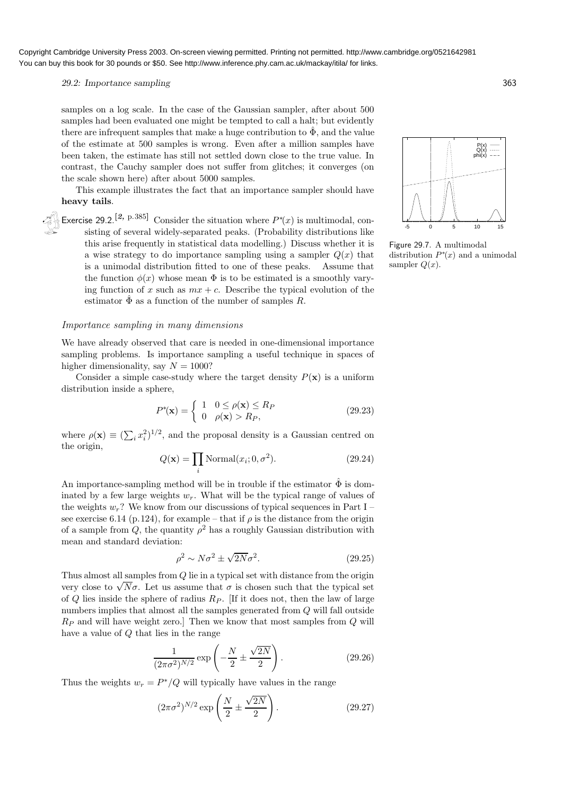29.2: Importance sampling 363

samples on a log scale. In the case of the Gaussian sampler, after about 500 samples had been evaluated one might be tempted to call a halt; but evidently there are infrequent samples that make a huge contribution to  $\hat{\Phi}$ , and the value of the estimate at 500 samples is wrong. Even after a million samples have been taken, the estimate has still not settled down close to the true value. In contrast, the Cauchy sampler does not suffer from glitches; it converges (on the scale shown here) after about 5000 samples.

This example illustrates the fact that an importance sampler should have heavy tails.

Exercise 29.2.<sup>[2, p.385]</sup> Consider the situation where  $P^*(x)$  is multimodal, consisting of several widely-separated peaks. (Probability distributions like this arise frequently in statistical data modelling.) Discuss whether it is a wise strategy to do importance sampling using a sampler  $Q(x)$  that is a unimodal distribution fitted to one of these peaks. Assume that the function  $\phi(x)$  whose mean  $\Phi$  is to be estimated is a smoothly varying function of x such as  $mx + c$ . Describe the typical evolution of the estimator  $\hat{\Phi}$  as a function of the number of samples R.

#### Importance sampling in many dimensions

We have already observed that care is needed in one-dimensional importance sampling problems. Is importance sampling a useful technique in spaces of higher dimensionality, say  $N = 1000$ ?

Consider a simple case-study where the target density  $P(\mathbf{x})$  is a uniform distribution inside a sphere,

$$
P^*(\mathbf{x}) = \begin{cases} 1 & 0 \le \rho(\mathbf{x}) \le R_P \\ 0 & \rho(\mathbf{x}) > R_P, \end{cases}
$$
 (29.23)

where  $\rho(\mathbf{x}) \equiv (\sum_i x_i^2)^{1/2}$ , and the proposal density is a Gaussian centred on the origin,

$$
Q(\mathbf{x}) = \prod_{i} \text{Normal}(x_i; 0, \sigma^2).
$$
 (29.24)

An importance-sampling method will be in trouble if the estimator  $\hat{\Phi}$  is dominated by a few large weights  $w_r$ . What will be the typical range of values of the weights  $w_r$ ? We know from our discussions of typical sequences in Part I – see exercise 6.14 (p.124), for example – that if  $\rho$  is the distance from the origin of a sample from Q, the quantity  $\rho^2$  has a roughly Gaussian distribution with mean and standard deviation:

$$
\rho^2 \sim N\sigma^2 \pm \sqrt{2N}\sigma^2. \tag{29.25}
$$

Thus almost all samples from Q lie in a typical set with distance from the origin very close to  $\sqrt{N}\sigma$ . Let us assume that  $\sigma$  is chosen such that the typical set of Q lies inside the sphere of radius  $R_P$ . [If it does not, then the law of large numbers implies that almost all the samples generated from Q will fall outside  $R_P$  and will have weight zero.] Then we know that most samples from  $Q$  will have a value of Q that lies in the range

$$
\frac{1}{(2\pi\sigma^2)^{N/2}} \exp\left(-\frac{N}{2} \pm \frac{\sqrt{2N}}{2}\right).
$$
 (29.26)

Thus the weights  $w_r = P^*/Q$  will typically have values in the range

$$
(2\pi\sigma^2)^{N/2} \exp\left(\frac{N}{2} \pm \frac{\sqrt{2N}}{2}\right). \tag{29.27}
$$



Figure 29.7. A multimodal distribution  $P^*(x)$  and a unimodal sampler  $Q(x)$ .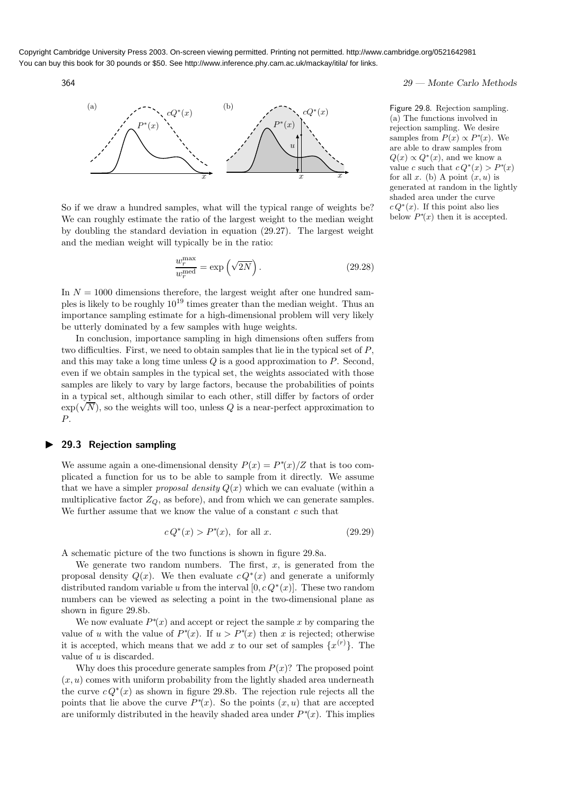

So if we draw a hundred samples, what will the typical range of weights be? We can roughly estimate the ratio of the largest weight to the median weight by doubling the standard deviation in equation (29.27). The largest weight and the median weight will typically be in the ratio:

$$
\frac{w_r^{\text{max}}}{w_r^{\text{med}}} = \exp\left(\sqrt{2N}\right). \tag{29.28}
$$

In  $N = 1000$  dimensions therefore, the largest weight after one hundred samples is likely to be roughly  $10^{19}$  times greater than the median weight. Thus an importance sampling estimate for a high-dimensional problem will very likely be utterly dominated by a few samples with huge weights.

In conclusion, importance sampling in high dimensions often suffers from two difficulties. First, we need to obtain samples that lie in the typical set of  $P$ , and this may take a long time unless  $Q$  is a good approximation to  $P$ . Second, even if we obtain samples in the typical set, the weights associated with those samples are likely to vary by large factors, because the probabilities of points in a typical set, although similar to each other, still differ by factors of order  $\exp(\sqrt{N})$ , so the weights will too, unless Q is a near-perfect approximation to P.

# ▶ 29.3 Rejection sampling

We assume again a one-dimensional density  $P(x) = P^*(x)/Z$  that is too complicated a function for us to be able to sample from it directly. We assume that we have a simpler *proposal density*  $Q(x)$  which we can evaluate (within a multiplicative factor  $Z_Q$ , as before), and from which we can generate samples. We further assume that we know the value of a constant  $c$  such that

$$
cQ^*(x) > P^*(x), \text{ for all } x. \tag{29.29}
$$

A schematic picture of the two functions is shown in figure 29.8a.

We generate two random numbers. The first,  $x$ , is generated from the proposal density  $Q(x)$ . We then evaluate  $c Q^*(x)$  and generate a uniformly distributed random variable u from the interval  $[0, c Q^*(x)]$ . These two random numbers can be viewed as selecting a point in the two-dimensional plane as shown in figure 29.8b.

We now evaluate  $P^*(x)$  and accept or reject the sample x by comparing the value of u with the value of  $P^*(x)$ . If  $u > P^*(x)$  then x is rejected; otherwise it is accepted, which means that we add x to our set of samples  $\{x^{(r)}\}$ . The value of u is discarded.

Why does this procedure generate samples from  $P(x)$ ? The proposed point  $(x, u)$  comes with uniform probability from the lightly shaded area underneath the curve  $c Q^*(x)$  as shown in figure 29.8b. The rejection rule rejects all the points that lie above the curve  $P^*(x)$ . So the points  $(x, u)$  that are accepted are uniformly distributed in the heavily shaded area under  $P^*(x)$ . This implies

364 29 — Monte Carlo Methods

Figure 29.8. Rejection sampling. (a) The functions involved in rejection sampling. We desire samples from  $P(x) \propto P^*(x)$ . We are able to draw samples from  $Q(x) \propto Q^*(x)$ , and we know a value c such that  $c Q^*(x) > P^*(x)$ for all x. (b) A point  $(x, u)$  is generated at random in the lightly shaded area under the curve  $c Q^*(x)$ . If this point also lies below  $P^*(x)$  then it is accepted.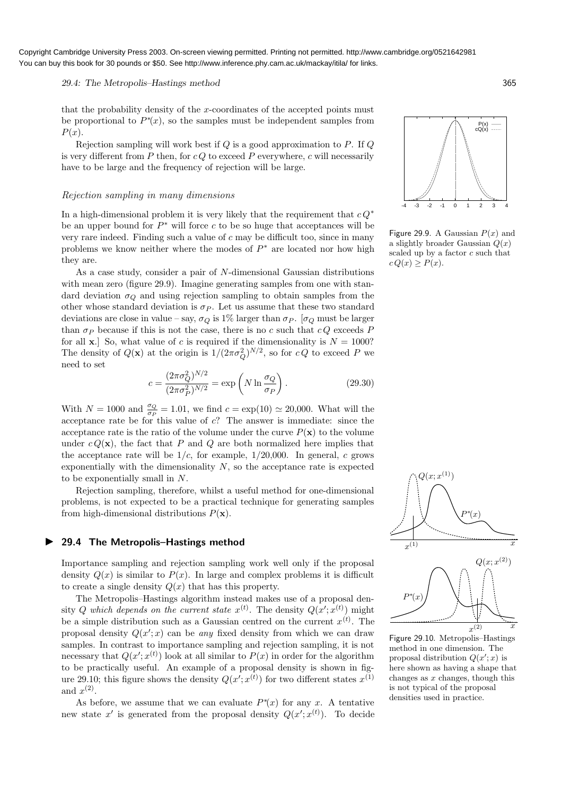### 29.4: The Metropolis–Hastings method 365

that the probability density of the x-coordinates of the accepted points must be proportional to  $P^*(x)$ , so the samples must be independent samples from  $P(x)$ .

Rejection sampling will work best if  $Q$  is a good approximation to  $P$ . If  $Q$ is very different from  $P$  then, for  $cQ$  to exceed  $P$  everywhere,  $c$  will necessarily have to be large and the frequency of rejection will be large.

#### Rejection sampling in many dimensions

In a high-dimensional problem it is very likely that the requirement that  $c Q^*$ be an upper bound for  $P^*$  will force c to be so huge that acceptances will be very rare indeed. Finding such a value of  $c$  may be difficult too, since in many problems we know neither where the modes of  $P^*$  are located nor how high they are.

As a case study, consider a pair of N-dimensional Gaussian distributions with mean zero (figure 29.9). Imagine generating samples from one with standard deviation  $\sigma_Q$  and using rejection sampling to obtain samples from the other whose standard deviation is  $\sigma_P$ . Let us assume that these two standard deviations are close in value – say,  $\sigma_Q$  is 1% larger than  $\sigma_P$ . [ $\sigma_Q$  must be larger than  $\sigma_P$  because if this is not the case, there is no c such that cQ exceeds P for all  $x$ . So, what value of c is required if the dimensionality is  $N = 1000$ ? The density of  $Q(\mathbf{x})$  at the origin is  $1/(2\pi\sigma_Q^2)^{N/2}$ , so for  $cQ$  to exceed P we need to set

$$
c = \frac{(2\pi\sigma_Q^2)^{N/2}}{(2\pi\sigma_P^2)^{N/2}} = \exp\left(N\ln\frac{\sigma_Q}{\sigma_P}\right). \tag{29.30}
$$

With  $N = 1000$  and  $\frac{\sigma_Q}{\sigma_P} = 1.01$ , we find  $c = \exp(10) \simeq 20{,}000$ . What will the acceptance rate be for this value of  $c$ ? The answer is immediate: since the acceptance rate is the ratio of the volume under the curve  $P(\mathbf{x})$  to the volume under  $c Q(\mathbf{x})$ , the fact that P and Q are both normalized here implies that the acceptance rate will be  $1/c$ , for example,  $1/20,000$ . In general, c grows exponentially with the dimensionality  $N$ , so the acceptance rate is expected to be exponentially small in N.

Rejection sampling, therefore, whilst a useful method for one-dimensional problems, is not expected to be a practical technique for generating samples from high-dimensional distributions  $P(\mathbf{x})$ .

# ▶ 29.4 The Metropolis-Hastings method

Importance sampling and rejection sampling work well only if the proposal density  $Q(x)$  is similar to  $P(x)$ . In large and complex problems it is difficult to create a single density  $Q(x)$  that has this property.

The Metropolis–Hastings algorithm instead makes use of a proposal density Q which depends on the current state  $x^{(t)}$ . The density  $Q(x';x^{(t)})$  might be a simple distribution such as a Gaussian centred on the current  $x^{(t)}$ . The proposal density  $Q(x';x)$  can be any fixed density from which we can draw samples. In contrast to importance sampling and rejection sampling, it is not necessary that  $Q(x'; x^{(t)})$  look at all similar to  $P(x)$  in order for the algorithm to be practically useful. An example of a proposal density is shown in figure 29.10; this figure shows the density  $Q(x';x^{(t)})$  for two different states  $x^{(1)}$ and  $x^{(2)}$ .

As before, we assume that we can evaluate  $P^*(x)$  for any x. A tentative new state  $x'$  is generated from the proposal density  $Q(x';x^{(t)})$ . To decide



Figure 29.9. A Gaussian  $P(x)$  and a slightly broader Gaussian  $Q(x)$ scaled up by a factor c such that  $c Q(x) \geq P(x)$ .



Figure 29.10. Metropolis–Hastings method in one dimension. The proposal distribution  $Q(x';x)$  is here shown as having a shape that changes as  $x$  changes, though this is not typical of the proposal densities used in practice.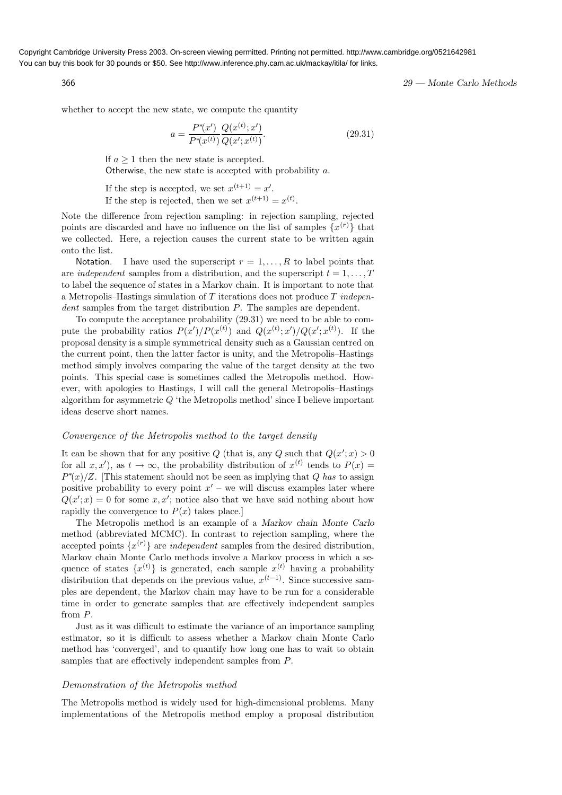366 29 — Monte Carlo Methods

whether to accept the new state, we compute the quantity

$$
a = \frac{P^*(x')}{P^*(x^{(t)})} \frac{Q(x^{(t)}; x')}{Q(x'; x^{(t)})}.
$$
\n(29.31)

If  $a \geq 1$  then the new state is accepted. Otherwise, the new state is accepted with probability a.

If the step is accepted, we set  $x^{(t+1)} = x'$ .

If the step is rejected, then we set  $x^{(t+1)} = x^{(t)}$ .

Note the difference from rejection sampling: in rejection sampling, rejected points are discarded and have no influence on the list of samples  $\{x^{(r)}\}$  that we collected. Here, a rejection causes the current state to be written again onto the list.

Notation. I have used the superscript  $r = 1, \ldots, R$  to label points that are *independent* samples from a distribution, and the superscript  $t = 1, \ldots, T$ to label the sequence of states in a Markov chain. It is important to note that a Metropolis–Hastings simulation of  $T$  iterations does not produce  $T$  independent samples from the target distribution P. The samples are dependent.

To compute the acceptance probability (29.31) we need to be able to compute the probability ratios  $P(x')/P(x^{(t)})$  and  $Q(x^{(t)};x')/Q(x';x^{(t)})$ . If the proposal density is a simple symmetrical density such as a Gaussian centred on the current point, then the latter factor is unity, and the Metropolis–Hastings method simply involves comparing the value of the target density at the two points. This special case is sometimes called the Metropolis method. However, with apologies to Hastings, I will call the general Metropolis–Hastings algorithm for asymmetric Q 'the Metropolis method' since I believe important ideas deserve short names.

#### Convergence of the Metropolis method to the target density

It can be shown that for any positive Q (that is, any Q such that  $Q(x';x) > 0$ for all  $x, x'$ , as  $t \to \infty$ , the probability distribution of  $x^{(t)}$  tends to  $P(x) =$  $P^*(x)/Z$ . [This statement should not be seen as implying that Q has to assign positive probability to every point  $x'$  – we will discuss examples later where  $Q(x'; x) = 0$  for some  $x, x'$ ; notice also that we have said nothing about how rapidly the convergence to  $P(x)$  takes place.

The Metropolis method is an example of a Markov chain Monte Carlo method (abbreviated MCMC). In contrast to rejection sampling, where the accepted points  $\{x^{(r)}\}$  are *independent* samples from the desired distribution, Markov chain Monte Carlo methods involve a Markov process in which a sequence of states  $\{x^{(t)}\}$  is generated, each sample  $x^{(t)}$  having a probability distribution that depends on the previous value,  $x^{(t-1)}$ . Since successive samples are dependent, the Markov chain may have to be run for a considerable time in order to generate samples that are effectively independent samples from P.

Just as it was difficult to estimate the variance of an importance sampling estimator, so it is difficult to assess whether a Markov chain Monte Carlo method has 'converged', and to quantify how long one has to wait to obtain samples that are effectively independent samples from  $P$ .

#### Demonstration of the Metropolis method

The Metropolis method is widely used for high-dimensional problems. Many implementations of the Metropolis method employ a proposal distribution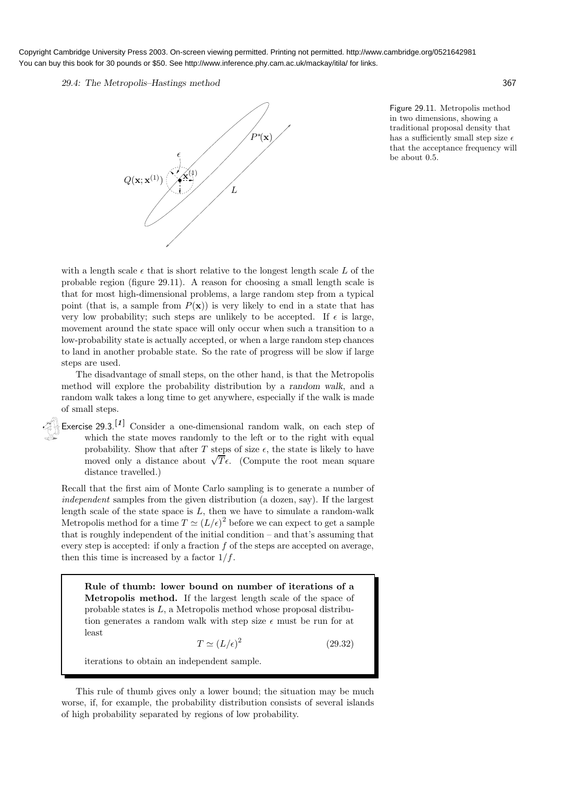29.4: The Metropolis–Hastings method 367



Figure 29.11. Metropolis method in two dimensions, showing a traditional proposal density that has a sufficiently small step size  $\epsilon$ that the acceptance frequency will be about 0.5.

with a length scale  $\epsilon$  that is short relative to the longest length scale L of the probable region (figure 29.11). A reason for choosing a small length scale is that for most high-dimensional problems, a large random step from a typical point (that is, a sample from  $P(x)$ ) is very likely to end in a state that has very low probability; such steps are unlikely to be accepted. If  $\epsilon$  is large, movement around the state space will only occur when such a transition to a low-probability state is actually accepted, or when a large random step chances to land in another probable state. So the rate of progress will be slow if large steps are used.

The disadvantage of small steps, on the other hand, is that the Metropolis method will explore the probability distribution by a random walk, and a random walk takes a long time to get anywhere, especially if the walk is made of small steps.

Exercise 29.3.<sup>[1]</sup> Consider a one-dimensional random walk, on each step of which the state moves randomly to the left or to the right with equal probability. Show that after T steps of size  $\epsilon$ , the state is likely to have moved only a distance about  $\sqrt{T}\epsilon$ . (Compute the root mean square distance travelled.)

Recall that the first aim of Monte Carlo sampling is to generate a number of independent samples from the given distribution (a dozen, say). If the largest length scale of the state space is  $L$ , then we have to simulate a random-walk Metropolis method for a time  $T \simeq (L/\epsilon)^2$  before we can expect to get a sample that is roughly independent of the initial condition – and that's assuming that every step is accepted: if only a fraction  $f$  of the steps are accepted on average, then this time is increased by a factor  $1/f$ .

Rule of thumb: lower bound on number of iterations of a Metropolis method. If the largest length scale of the space of probable states is L, a Metropolis method whose proposal distribution generates a random walk with step size  $\epsilon$  must be run for at least  $T \simeq (L/\epsilon)^2$ 

(29.32)

iterations to obtain an independent sample.

This rule of thumb gives only a lower bound; the situation may be much worse, if, for example, the probability distribution consists of several islands of high probability separated by regions of low probability.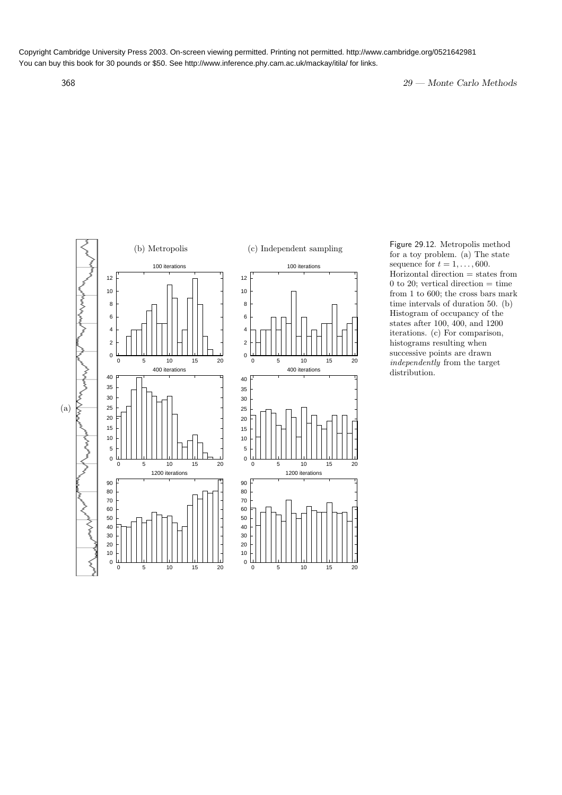29 — Monte Carlo Methods



Figure 29.12. Metropolis method for a toy problem. (a) The state sequence for  $t = 1, \ldots, 600$ .  $Horizontal$  direction  $=$  states from 0 to 20; vertical direction  $=$  time from 1 to 600; the cross bars mark time intervals of duration 50. (b) Histogram of occupancy of the states after 100, 400, and 1200 iterations. (c) For comparison, histograms resulting when successive points are drawn independently from the target distribution.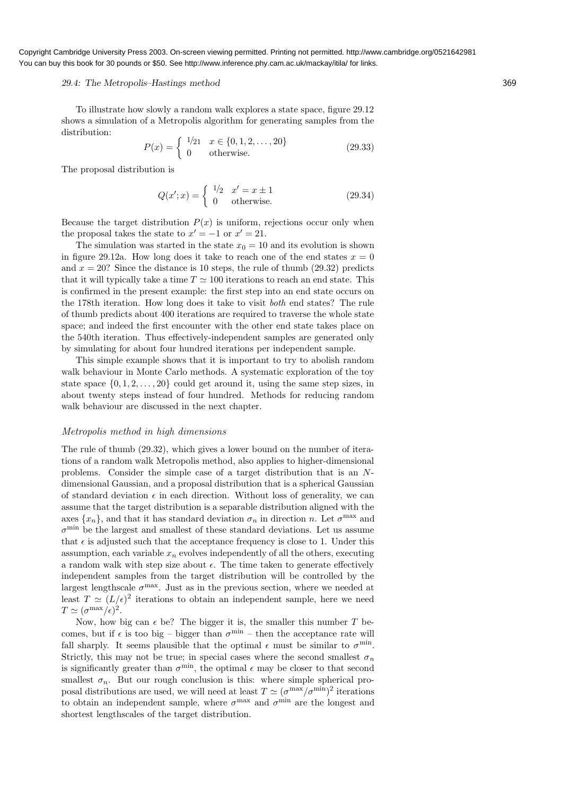#### 29.4: The Metropolis–Hastings method 369

To illustrate how slowly a random walk explores a state space, figure 29.12 shows a simulation of a Metropolis algorithm for generating samples from the distribution:

$$
P(x) = \begin{cases} 1/21 & x \in \{0, 1, 2, \dots, 20\} \\ 0 & \text{otherwise.} \end{cases}
$$
 (29.33)

The proposal distribution is

$$
Q(x';x) = \begin{cases} 1/2 & x' = x \pm 1 \\ 0 & \text{otherwise.} \end{cases}
$$
 (29.34)

Because the target distribution  $P(x)$  is uniform, rejections occur only when the proposal takes the state to  $x' = -1$  or  $x' = 21$ .

The simulation was started in the state  $x_0 = 10$  and its evolution is shown in figure 29.12a. How long does it take to reach one of the end states  $x = 0$ and  $x = 20$ ? Since the distance is 10 steps, the rule of thumb (29.32) predicts that it will typically take a time  $T \simeq 100$  iterations to reach an end state. This is confirmed in the present example: the first step into an end state occurs on the 178th iteration. How long does it take to visit both end states? The rule of thumb predicts about 400 iterations are required to traverse the whole state space; and indeed the first encounter with the other end state takes place on the 540th iteration. Thus effectively-independent samples are generated only by simulating for about four hundred iterations per independent sample.

This simple example shows that it is important to try to abolish random walk behaviour in Monte Carlo methods. A systematic exploration of the toy state space  $\{0, 1, 2, \ldots, 20\}$  could get around it, using the same step sizes, in about twenty steps instead of four hundred. Methods for reducing random walk behaviour are discussed in the next chapter.

#### Metropolis method in high dimensions

The rule of thumb (29.32), which gives a lower bound on the number of iterations of a random walk Metropolis method, also applies to higher-dimensional problems. Consider the simple case of a target distribution that is an Ndimensional Gaussian, and a proposal distribution that is a spherical Gaussian of standard deviation  $\epsilon$  in each direction. Without loss of generality, we can assume that the target distribution is a separable distribution aligned with the axes  $\{x_n\}$ , and that it has standard deviation  $\sigma_n$  in direction n. Let  $\sigma^{\max}$  and  $\sigma^{\min}$  be the largest and smallest of these standard deviations. Let us assume that  $\epsilon$  is adjusted such that the acceptance frequency is close to 1. Under this assumption, each variable  $x_n$  evolves independently of all the others, executing a random walk with step size about  $\epsilon$ . The time taken to generate effectively independent samples from the target distribution will be controlled by the largest lengthscale  $\sigma^{\max}$ . Just as in the previous section, where we needed at least  $T \simeq (L/\epsilon)^2$  iterations to obtain an independent sample, here we need  $T \simeq (\sigma^{\text{max}}/\epsilon)^2$ .

Now, how big can  $\epsilon$  be? The bigger it is, the smaller this number T becomes, but if  $\epsilon$  is too big – bigger than  $\sigma^{\min}$  – then the acceptance rate will fall sharply. It seems plausible that the optimal  $\epsilon$  must be similar to  $\sigma^{\min}$ . Strictly, this may not be true; in special cases where the second smallest  $\sigma_n$ is significantly greater than  $\sigma^{\min}$ , the optimal  $\epsilon$  may be closer to that second smallest  $\sigma_n$ . But our rough conclusion is this: where simple spherical proposal distributions are used, we will need at least  $T \simeq (\sigma^{\max}/\sigma^{\min})^2$  iterations to obtain an independent sample, where  $\sigma^{\text{max}}$  and  $\sigma^{\text{min}}$  are the longest and shortest lengthscales of the target distribution.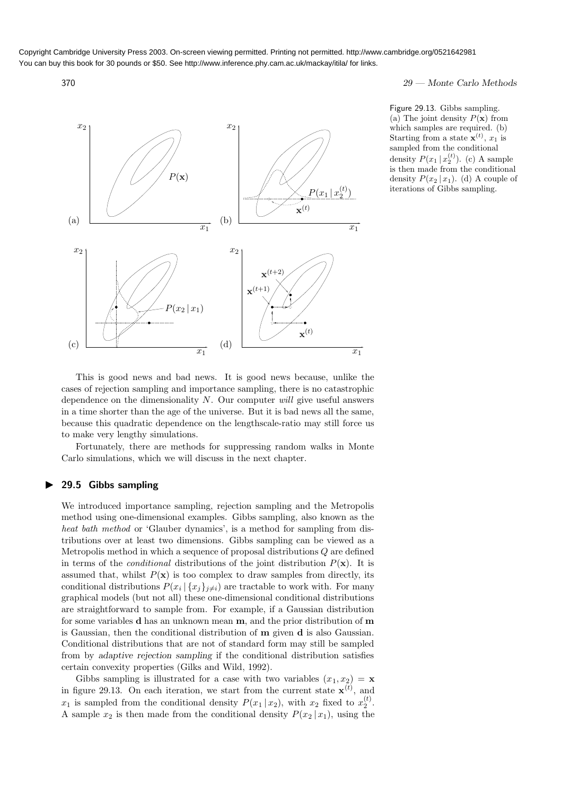370 29 — Monte Carlo Methods

Figure 29.13. Gibbs sampling. (a) The joint density  $P(\mathbf{x})$  from which samples are required. (b) Starting from a state  $\mathbf{x}^{(t)}$ ,  $x_1$  is sampled from the conditional density  $P(x_1 | x_2^{(t)})$ . (c) A sample is then made from the conditional density  $P(x_2 | x_1)$ . (d) A couple of iterations of Gibbs sampling.





This is good news and bad news. It is good news because, unlike the cases of rejection sampling and importance sampling, there is no catastrophic dependence on the dimensionality  $N$ . Our computer will give useful answers in a time shorter than the age of the universe. But it is bad news all the same, because this quadratic dependence on the lengthscale-ratio may still force us to make very lengthy simulations.

Fortunately, there are methods for suppressing random walks in Monte Carlo simulations, which we will discuss in the next chapter.

# ▶ 29.5 Gibbs sampling

We introduced importance sampling, rejection sampling and the Metropolis method using one-dimensional examples. Gibbs sampling, also known as the heat bath method or 'Glauber dynamics', is a method for sampling from distributions over at least two dimensions. Gibbs sampling can be viewed as a Metropolis method in which a sequence of proposal distributions Q are defined in terms of the *conditional* distributions of the joint distribution  $P(\mathbf{x})$ . It is assumed that, whilst  $P(\mathbf{x})$  is too complex to draw samples from directly, its conditional distributions  $P(x_i | \{x_j\}_{j\neq i})$  are tractable to work with. For many graphical models (but not all) these one-dimensional conditional distributions are straightforward to sample from. For example, if a Gaussian distribution for some variables **d** has an unknown mean  $m$ , and the prior distribution of  $m$ is Gaussian, then the conditional distribution of m given d is also Gaussian. Conditional distributions that are not of standard form may still be sampled from by adaptive rejection sampling if the conditional distribution satisfies certain convexity properties (Gilks and Wild, 1992).

Gibbs sampling is illustrated for a case with two variables  $(x_1, x_2) = \mathbf{x}$ in figure 29.13. On each iteration, we start from the current state  $\mathbf{x}^{(t)}$ , and  $x_1$  is sampled from the conditional density  $P(x_1 | x_2)$ , with  $x_2$  fixed to  $x_2^{(t)}$ . A sample  $x_2$  is then made from the conditional density  $P(x_2 | x_1)$ , using the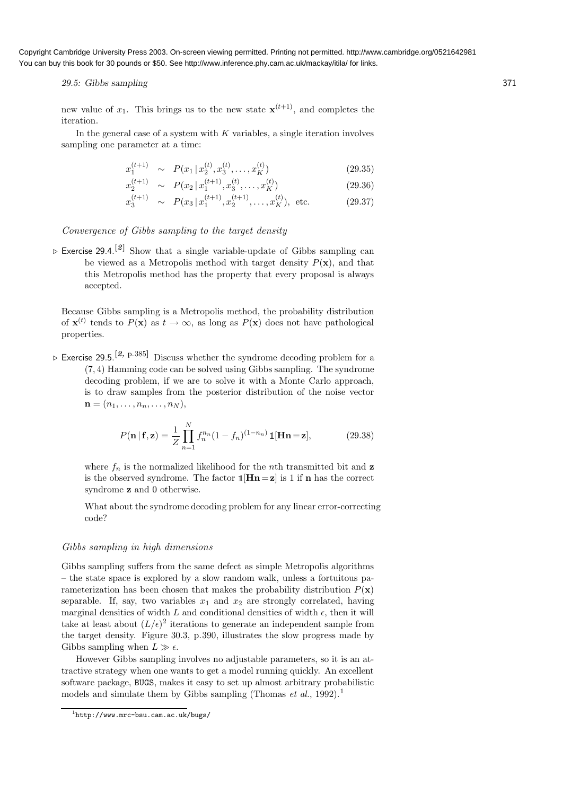29.5: Gibbs sampling 371

new value of  $x_1$ . This brings us to the new state  $\mathbf{x}^{(t+1)}$ , and completes the iteration.

In the general case of a system with  $K$  variables, a single iteration involves sampling one parameter at a time:

$$
x_1^{(t+1)} \sim P(x_1 | x_2^{(t)}, x_3^{(t)}, \dots, x_K^{(t)}) \tag{29.35}
$$

$$
x_2^{(t+1)} \sim P(x_2 | x_1^{(t+1)}, x_3^{(t)}, \dots, x_K^{(t)}) \tag{29.36}
$$

$$
x_3^{(t+1)} \sim P(x_3 | x_1^{(t+1)}, x_2^{(t+1)}, \dots, x_K^{(t)}), \text{ etc.}
$$
 (29.37)

Convergence of Gibbs sampling to the target density

 $\triangleright$  Exercise 29.4.<sup>[2]</sup> Show that a single variable-update of Gibbs sampling can be viewed as a Metropolis method with target density  $P(\mathbf{x})$ , and that this Metropolis method has the property that every proposal is always accepted.

Because Gibbs sampling is a Metropolis method, the probability distribution of  $\mathbf{x}^{(t)}$  tends to  $P(\mathbf{x})$  as  $t \to \infty$ , as long as  $P(\mathbf{x})$  does not have pathological properties.

 $\triangleright$  Exercise 29.5.<sup>[2, p.385]</sup> Discuss whether the syndrome decoding problem for a (7, 4) Hamming code can be solved using Gibbs sampling. The syndrome decoding problem, if we are to solve it with a Monte Carlo approach, is to draw samples from the posterior distribution of the noise vector  $$ 

$$
P(\mathbf{n} \mid \mathbf{f}, \mathbf{z}) = \frac{1}{Z} \prod_{n=1}^{N} f_n^{n_n} (1 - f_n)^{(1 - n_n)} \mathbb{1}[\mathbf{Hn} = \mathbf{z}], \tag{29.38}
$$

where  $f_n$  is the normalized likelihood for the nth transmitted bit and z is the observed syndrome. The factor  $\mathbb{1}[\text{Hn}=\text{z}]$  is 1 if n has the correct syndrome z and 0 otherwise.

What about the syndrome decoding problem for any linear error-correcting code?

#### Gibbs sampling in high dimensions

Gibbs sampling suffers from the same defect as simple Metropolis algorithms – the state space is explored by a slow random walk, unless a fortuitous parameterization has been chosen that makes the probability distribution  $P(\mathbf{x})$ separable. If, say, two variables  $x_1$  and  $x_2$  are strongly correlated, having marginal densities of width  $L$  and conditional densities of width  $\epsilon$ , then it will take at least about  $(L/\epsilon)^2$  iterations to generate an independent sample from the target density. Figure 30.3, p.390, illustrates the slow progress made by Gibbs sampling when  $L \gg \epsilon$ .

However Gibbs sampling involves no adjustable parameters, so it is an attractive strategy when one wants to get a model running quickly. An excellent software package, BUGS, makes it easy to set up almost arbitrary probabilistic models and simulate them by Gibbs sampling (Thomas et al., 1992).<sup>1</sup>

<sup>1</sup> http://www.mrc-bsu.cam.ac.uk/bugs/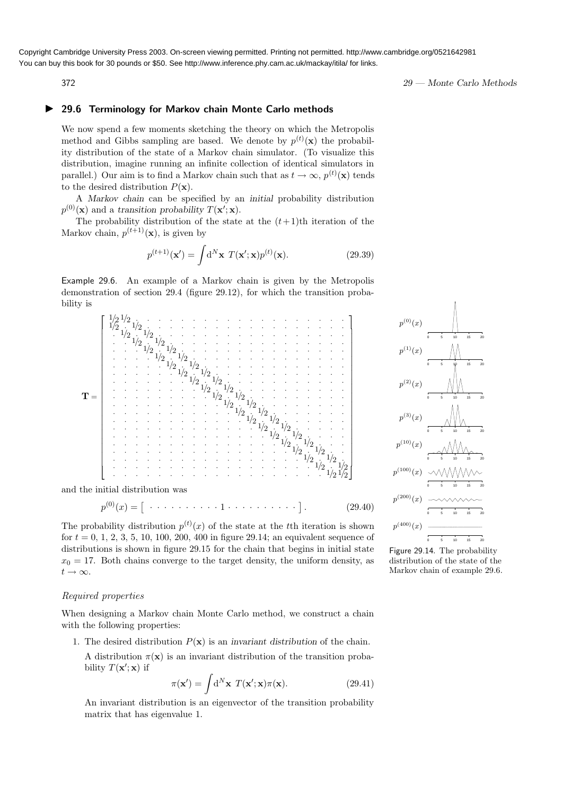# ▶ 29.6 Terminology for Markov chain Monte Carlo methods

We now spend a few moments sketching the theory on which the Metropolis method and Gibbs sampling are based. We denote by  $p^{(t)}(\mathbf{x})$  the probability distribution of the state of a Markov chain simulator. (To visualize this distribution, imagine running an infinite collection of identical simulators in parallel.) Our aim is to find a Markov chain such that as  $t \to \infty$ ,  $p^{(t)}(\mathbf{x})$  tends to the desired distribution  $P(\mathbf{x})$ .

A Markov chain can be specified by an initial probability distribution  $p^{(0)}(\mathbf{x})$  and a transition probability  $T(\mathbf{x}';\mathbf{x})$ .

The probability distribution of the state at the  $(t+1)$ th iteration of the Markov chain,  $p^{(t+1)}(\mathbf{x})$ , is given by

$$
p^{(t+1)}(\mathbf{x}') = \int d^N \mathbf{x} \ T(\mathbf{x}'; \mathbf{x}) p^{(t)}(\mathbf{x}). \tag{29.39}
$$

\_\_

Example 29.6. An example of a Markov chain is given by the Metropolis demonstration of section 29.4 (figure 29.12), for which the transition probability is

$$
\mathbf{T} = \begin{bmatrix} \frac{1}{2} & \frac{1}{2} & \frac{1}{2} & \frac{1}{2} & \frac{1}{2} & \frac{1}{2} & \frac{1}{2} & \frac{1}{2} & \frac{1}{2} & \frac{1}{2} & \frac{1}{2} & \frac{1}{2} & \frac{1}{2} & \frac{1}{2} & \frac{1}{2} & \frac{1}{2} & \frac{1}{2} & \frac{1}{2} & \frac{1}{2} & \frac{1}{2} & \frac{1}{2} & \frac{1}{2} & \frac{1}{2} & \frac{1}{2} & \frac{1}{2} & \frac{1}{2} & \frac{1}{2} & \frac{1}{2} & \frac{1}{2} & \frac{1}{2} & \frac{1}{2} & \frac{1}{2} & \frac{1}{2} & \frac{1}{2} & \frac{1}{2} & \frac{1}{2} & \frac{1}{2} & \frac{1}{2} & \frac{1}{2} & \frac{1}{2} & \frac{1}{2} & \frac{1}{2} & \frac{1}{2} & \frac{1}{2} & \frac{1}{2} & \frac{1}{2} & \frac{1}{2} & \frac{1}{2} & \frac{1}{2} & \frac{1}{2} & \frac{1}{2} & \frac{1}{2} & \frac{1}{2} & \frac{1}{2} & \frac{1}{2} & \frac{1}{2} & \frac{1}{2} & \frac{1}{2} & \frac{1}{2} & \frac{1}{2} & \frac{1}{2} & \frac{1}{2} & \frac{1}{2} & \frac{1}{2} & \frac{1}{2} & \frac{1}{2} & \frac{1}{2} & \frac{1}{2} & \frac{1}{2} & \frac{1}{2} & \frac{1}{2} & \frac{1}{2} & \frac{1}{2} & \frac{1}{2} & \frac{1}{2} &
$$

and the initial distribution was

$$
p^{(0)}(x) = \left[ \begin{array}{ccc} \cdots & \cdots & \cdots & 1 & \cdots & \cdots & \cdots \end{array} \right].
$$
 (29.40)

The probability distribution  $p^{(t)}(x)$  of the state at the tth iteration is shown for  $t = 0, 1, 2, 3, 5, 10, 100, 200, 400$  in figure 29.14; an equivalent sequence of distributions is shown in figure 29.15 for the chain that begins in initial state  $x_0 = 17$ . Both chains converge to the target density, the uniform density, as  $t \to \infty$ .

# Required properties

When designing a Markov chain Monte Carlo method, we construct a chain with the following properties:

1. The desired distribution  $P(\mathbf{x})$  is an invariant distribution of the chain. A distribution  $\pi(\mathbf{x})$  is an invariant distribution of the transition probability  $T(\mathbf{x}';\mathbf{x})$  if

$$
\pi(\mathbf{x}') = \int d^N \mathbf{x} \ T(\mathbf{x}'; \mathbf{x}) \pi(\mathbf{x}). \tag{29.41}
$$

An invariant distribution is an eigenvector of the transition probability matrix that has eigenvalue 1.



Figure 29.14. The probability distribution of the state of the Markov chain of example 29.6.

372 29 — Monte Carlo Methods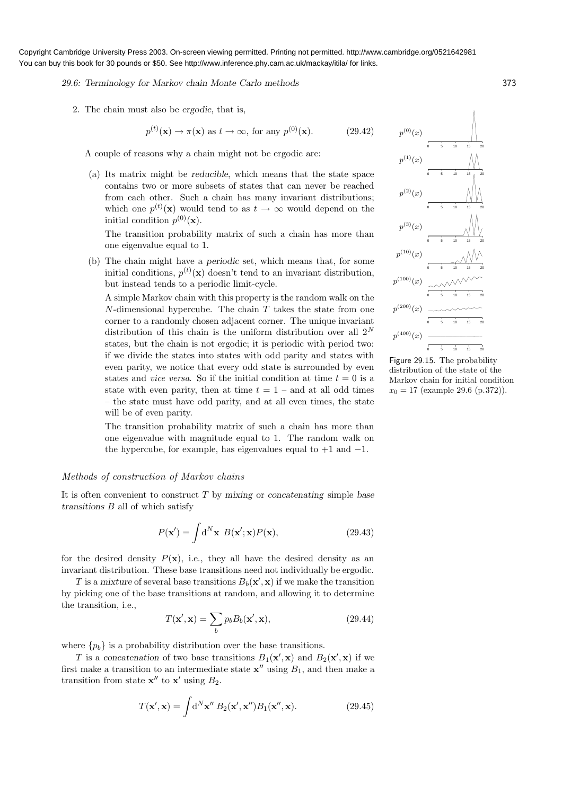- 29.6: Terminology for Markov chain Monte Carlo methods 373
	- 2. The chain must also be ergodic, that is,

$$
p^{(t)}(\mathbf{x}) \to \pi(\mathbf{x}) \text{ as } t \to \infty, \text{ for any } p^{(0)}(\mathbf{x}). \tag{29.42}
$$

A couple of reasons why a chain might not be ergodic are:

(a) Its matrix might be reducible, which means that the state space contains two or more subsets of states that can never be reached from each other. Such a chain has many invariant distributions; which one  $p^{(t)}(\mathbf{x})$  would tend to as  $t \to \infty$  would depend on the initial condition  $p^{(0)}(\mathbf{x})$ .

The transition probability matrix of such a chain has more than one eigenvalue equal to 1.

(b) The chain might have a periodic set, which means that, for some initial conditions,  $p^{(t)}(\mathbf{x})$  doesn't tend to an invariant distribution, but instead tends to a periodic limit-cycle.

A simple Markov chain with this property is the random walk on the  $N$ -dimensional hypercube. The chain  $T$  takes the state from one corner to a randomly chosen adjacent corner. The unique invariant distribution of this chain is the uniform distribution over all  $2^N$ states, but the chain is not ergodic; it is periodic with period two: if we divide the states into states with odd parity and states with even parity, we notice that every odd state is surrounded by even states and *vice versa*. So if the initial condition at time  $t = 0$  is a state with even parity, then at time  $t = 1$  – and at all odd times – the state must have odd parity, and at all even times, the state will be of even parity.

The transition probability matrix of such a chain has more than one eigenvalue with magnitude equal to 1. The random walk on the hypercube, for example, has eigenvalues equal to  $+1$  and  $-1$ .

#### Methods of construction of Markov chains

It is often convenient to construct  $T$  by mixing or concatenating simple base  $transitions B$  all of which satisfy

$$
P(\mathbf{x}') = \int d^N \mathbf{x} \ B(\mathbf{x}'; \mathbf{x}) P(\mathbf{x}), \tag{29.43}
$$

for the desired density  $P(\mathbf{x})$ , i.e., they all have the desired density as an invariant distribution. These base transitions need not individually be ergodic.

T is a mixture of several base transitions  $B_b(\mathbf{x}', \mathbf{x})$  if we make the transition by picking one of the base transitions at random, and allowing it to determine the transition, i.e.,

$$
T(\mathbf{x}', \mathbf{x}) = \sum_{b} p_b B_b(\mathbf{x}', \mathbf{x}),
$$
\n(29.44)

where  $\{p_b\}$  is a probability distribution over the base transitions.

T is a concatenation of two base transitions  $B_1(\mathbf{x}', \mathbf{x})$  and  $B_2(\mathbf{x}', \mathbf{x})$  if we first make a transition to an intermediate state  $x''$  using  $B_1$ , and then make a transition from state  $\mathbf{x}''$  to  $\mathbf{x}'$  using  $B_2$ .

$$
T(\mathbf{x}', \mathbf{x}) = \int d^N \mathbf{x}'' B_2(\mathbf{x}', \mathbf{x}'') B_1(\mathbf{x}'', \mathbf{x}). \tag{29.45}
$$



Figure 29.15. The probability distribution of the state of the Markov chain for initial condition  $x_0 = 17$  (example 29.6 (p.372)).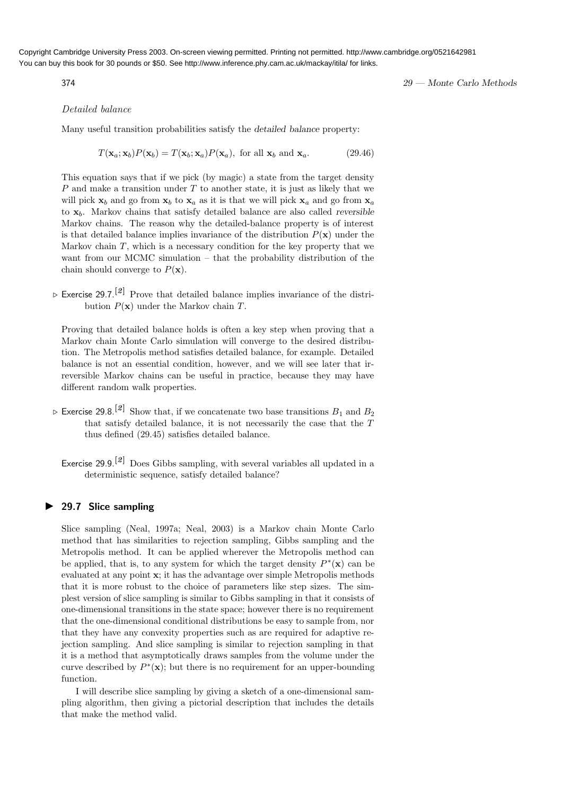374 29 — Monte Carlo Methods

# Detailed balance

Many useful transition probabilities satisfy the detailed balance property:

$$
T(\mathbf{x}_a; \mathbf{x}_b)P(\mathbf{x}_b) = T(\mathbf{x}_b; \mathbf{x}_a)P(\mathbf{x}_a), \text{ for all } \mathbf{x}_b \text{ and } \mathbf{x}_a.
$$
 (29.46)

This equation says that if we pick (by magic) a state from the target density  $P$  and make a transition under  $T$  to another state, it is just as likely that we will pick  $x_b$  and go from  $x_b$  to  $x_a$  as it is that we will pick  $x_a$  and go from  $x_a$ to  $x_b$ . Markov chains that satisfy detailed balance are also called reversible Markov chains. The reason why the detailed-balance property is of interest is that detailed balance implies invariance of the distribution  $P(\mathbf{x})$  under the Markov chain  $T$ , which is a necessary condition for the key property that we want from our MCMC simulation – that the probability distribution of the chain should converge to  $P(\mathbf{x})$ .

 $\triangleright$  Exercise 29.7.<sup>[2]</sup> Prove that detailed balance implies invariance of the distribution  $P(\mathbf{x})$  under the Markov chain T.

Proving that detailed balance holds is often a key step when proving that a Markov chain Monte Carlo simulation will converge to the desired distribution. The Metropolis method satisfies detailed balance, for example. Detailed balance is not an essential condition, however, and we will see later that irreversible Markov chains can be useful in practice, because they may have different random walk properties.

- $\triangleright$  Exercise 29.8.<sup>[2]</sup> Show that, if we concatenate two base transitions  $B_1$  and  $B_2$ that satisfy detailed balance, it is not necessarily the case that the T thus defined (29.45) satisfies detailed balance.
	- Exercise 29.9.<sup>[2]</sup> Does Gibbs sampling, with several variables all updated in a deterministic sequence, satisfy detailed balance?

# ▶ 29.7 Slice sampling

Slice sampling (Neal, 1997a; Neal, 2003) is a Markov chain Monte Carlo method that has similarities to rejection sampling, Gibbs sampling and the Metropolis method. It can be applied wherever the Metropolis method can be applied, that is, to any system for which the target density  $P^*(\mathbf{x})$  can be evaluated at any point x; it has the advantage over simple Metropolis methods that it is more robust to the choice of parameters like step sizes. The simplest version of slice sampling is similar to Gibbs sampling in that it consists of one-dimensional transitions in the state space; however there is no requirement that the one-dimensional conditional distributions be easy to sample from, nor that they have any convexity properties such as are required for adaptive rejection sampling. And slice sampling is similar to rejection sampling in that it is a method that asymptotically draws samples from the volume under the curve described by  $P^*(\mathbf{x})$ ; but there is no requirement for an upper-bounding function.

I will describe slice sampling by giving a sketch of a one-dimensional sampling algorithm, then giving a pictorial description that includes the details that make the method valid.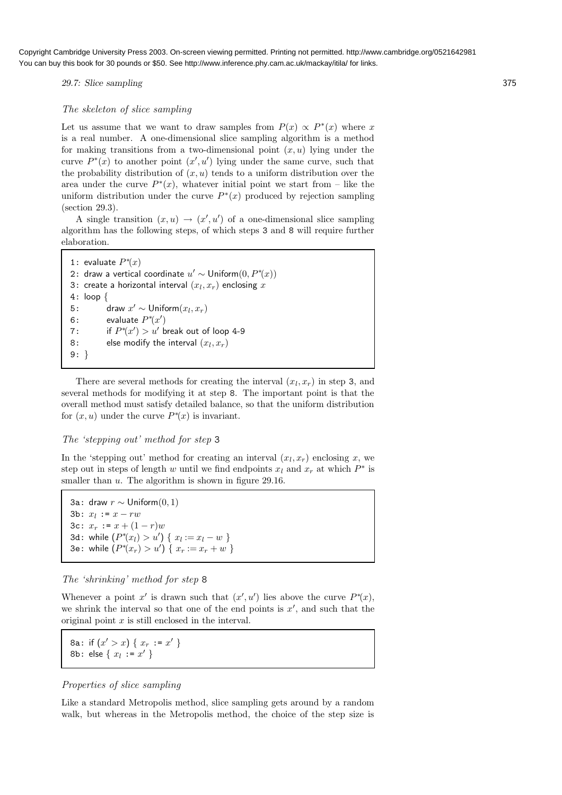29.7: Slice sampling 375

# The skeleton of slice sampling

Let us assume that we want to draw samples from  $P(x) \propto P^*(x)$  where x is a real number. A one-dimensional slice sampling algorithm is a method for making transitions from a two-dimensional point  $(x, u)$  lying under the curve  $P^*(x)$  to another point  $(x', u')$  lying under the same curve, such that the probability distribution of  $(x, u)$  tends to a uniform distribution over the area under the curve  $P^*(x)$ , whatever initial point we start from – like the uniform distribution under the curve  $P^*(x)$  produced by rejection sampling (section 29.3).

A single transition  $(x, u) \rightarrow (x', u')$  of a one-dimensional slice sampling algorithm has the following steps, of which steps 3 and 8 will require further elaboration.

```
1: evaluate P^*(x)2: draw a vertical coordinate u' \sim \mathsf{Uniform}(0, P^*(x))3: create a horizontal interval \left(x_{l},x_{r}\right) enclosing x4: \text{loop} \left\{ \begin{matrix} 5: \end{matrix} \right.5: draw x' \sim \text{Uniform}(x_l, x_r)6: evaluate P^*(x')7: if P^*(x') > u' break out of loop 4-9
8: else modify the interval (x_l, x_r)9: }
```
There are several methods for creating the interval  $(x_l, x_r)$  in step 3, and several methods for modifying it at step 8. The important point is that the overall method must satisfy detailed balance, so that the uniform distribution for  $(x, u)$  under the curve  $P^*(x)$  is invariant.

# The 'stepping out' method for step 3

In the 'stepping out' method for creating an interval  $(x_l, x_r)$  enclosing x, we step out in steps of length w until we find endpoints  $x_l$  and  $x_r$  at which  $P^*$  is smaller than  $u$ . The algorithm is shown in figure 29.16.

3a: draw  $r \sim$  Uniform $(0, 1)$ 3b:  $x_l := x - rw$ 3c:  $x_r := x + (1 - r)w$ 3d: while  $(P^*(x_l) > u') \{ x_l := x_l - w \}$ 3e: while  $(P^*(x_r) > u') \{ x_r := x_r + w \}$ 

# The 'shrinking' method for step 8

Whenever a point x' is drawn such that  $(x', u')$  lies above the curve  $P^*(x)$ , we shrink the interval so that one of the end points is  $x'$ , and such that the original point  $x$  is still enclosed in the interval.

8a: if  $(x' > x) \{ x_r : = x' \}$ 8b: else  $\{ x_l : = x' \}$ 

# Properties of slice sampling

Like a standard Metropolis method, slice sampling gets around by a random walk, but whereas in the Metropolis method, the choice of the step size is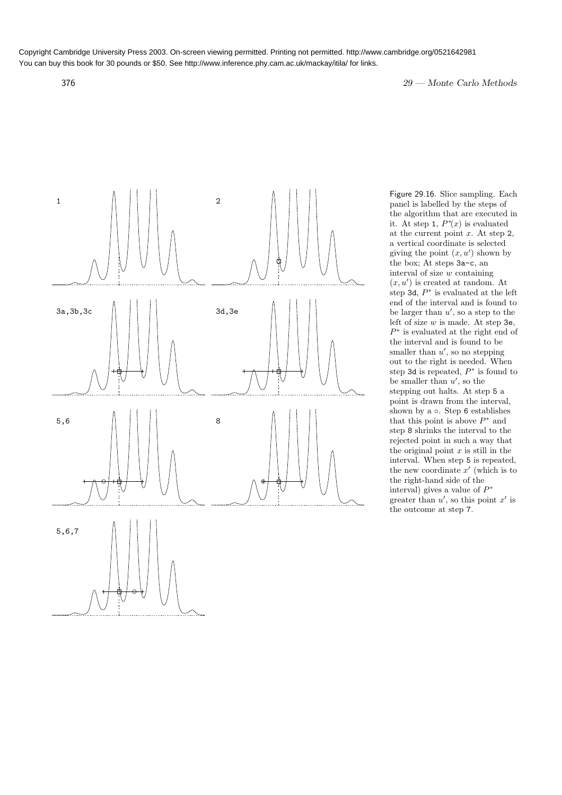376 29 — Monte Carlo Methods



Figure 29.16. Slice sampling. Each panel is labelled by the steps of the algorithm that are executed in it. At step 1,  $P^*(x)$  is evaluated at the current point  $x$ . At step 2, a vertical coordinate is selected giving the point  $(x, u')$  shown by the box; At steps 3a-c, an interval of size  $w$  containing  $(x, u')$  is created at random. At step 3d,  $P^*$  is evaluated at the left end of the interval and is found to be larger than  $u'$ , so a step to the left of size w is made. At step 3e,  $P^*$  is evaluated at the right end of the interval and is found to be smaller than  $u'$ , so no stepping out to the right is needed. When step 3d is repeated,  $P^*$  is found to be smaller than  $u'$ , so the stepping out halts. At step 5 a point is drawn from the interval, shown by a ◦. Step 6 establishes that this point is above  $P^*$  and step 8 shrinks the interval to the rejected point in such a way that the original point  $x$  is still in the interval. When step 5 is repeated, the new coordinate  $x'$  (which is to the right-hand side of the interval) gives a value of  $P^*$ greater than  $u'$ , so this point x' is the outcome at step 7.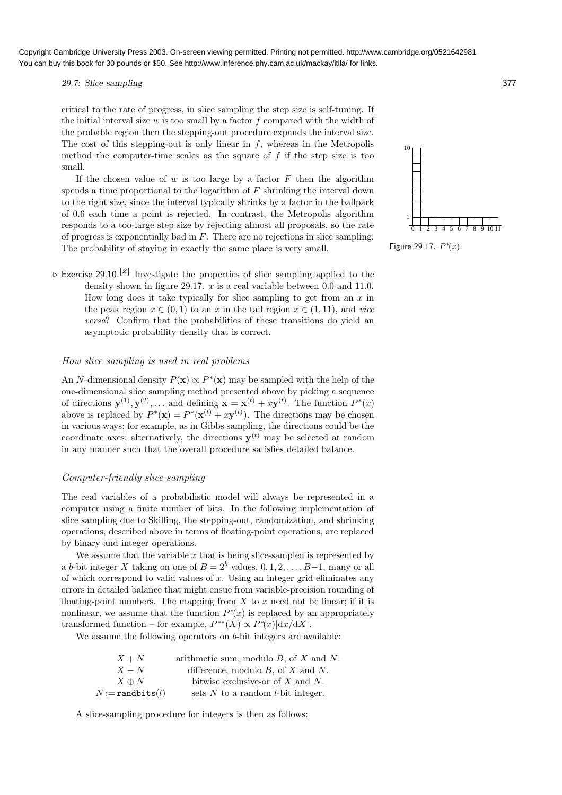29.7: Slice sampling 377

critical to the rate of progress, in slice sampling the step size is self-tuning. If the initial interval size  $w$  is too small by a factor  $f$  compared with the width of the probable region then the stepping-out procedure expands the interval size. The cost of this stepping-out is only linear in  $f$ , whereas in the Metropolis method the computer-time scales as the square of  $f$  if the step size is too small.

If the chosen value of  $w$  is too large by a factor  $F$  then the algorithm spends a time proportional to the logarithm of  $F$  shrinking the interval down to the right size, since the interval typically shrinks by a factor in the ballpark of 0.6 each time a point is rejected. In contrast, the Metropolis algorithm responds to a too-large step size by rejecting almost all proposals, so the rate of progress is exponentially bad in  $F$ . There are no rejections in slice sampling. The probability of staying in exactly the same place is very small.

 $\triangleright$  Exercise 29.10.<sup>[2]</sup> Investigate the properties of slice sampling applied to the density shown in figure 29.17.  $x$  is a real variable between 0.0 and 11.0. How long does it take typically for slice sampling to get from an  $x$  in the peak region  $x \in (0,1)$  to an x in the tail region  $x \in (1,11)$ , and vice versa? Confirm that the probabilities of these transitions do yield an asymptotic probability density that is correct.

#### How slice sampling is used in real problems

An N-dimensional density  $P(\mathbf{x}) \propto P^*(\mathbf{x})$  may be sampled with the help of the one-dimensional slice sampling method presented above by picking a sequence of directions  $\mathbf{y}^{(1)}, \mathbf{y}^{(2)}, \dots$  and defining  $\mathbf{x} = \mathbf{x}^{(t)} + x\mathbf{y}^{(t)}$ . The function  $P^*(x)$ above is replaced by  $P^*(\mathbf{x}) = P^*(\mathbf{x}^{(t)} + x\mathbf{y}^{(t)})$ . The directions may be chosen in various ways; for example, as in Gibbs sampling, the directions could be the coordinate axes; alternatively, the directions  $y<sup>(t)</sup>$  may be selected at random in any manner such that the overall procedure satisfies detailed balance.

#### Computer-friendly slice sampling

The real variables of a probabilistic model will always be represented in a computer using a finite number of bits. In the following implementation of slice sampling due to Skilling, the stepping-out, randomization, and shrinking operations, described above in terms of floating-point operations, are replaced by binary and integer operations.

We assume that the variable  $x$  that is being slice-sampled is represented by a b-bit integer X taking on one of  $B = 2^b$  values,  $0, 1, 2, \ldots, B-1$ , many or all of which correspond to valid values of  $x$ . Using an integer grid eliminates any errors in detailed balance that might ensue from variable-precision rounding of floating-point numbers. The mapping from  $X$  to  $x$  need not be linear; if it is nonlinear, we assume that the function  $P^*(x)$  is replaced by an appropriately transformed function – for example,  $P^{**}(X) \propto P^{*}(x)|dx/dX|$ .

We assume the following operators on b-bit integers are available:

| $X+N$                 | arithmetic sum, modulo $B$ , of $X$ and $N$ . |
|-----------------------|-----------------------------------------------|
| $X = N$               | difference, modulo $B$ , of $X$ and $N$ .     |
| $X \oplus N$          | bitwise exclusive-or of $X$ and $N$ .         |
| $N :=$ randbits $(l)$ | sets $N$ to a random <i>l</i> -bit integer.   |

A slice-sampling procedure for integers is then as follows:



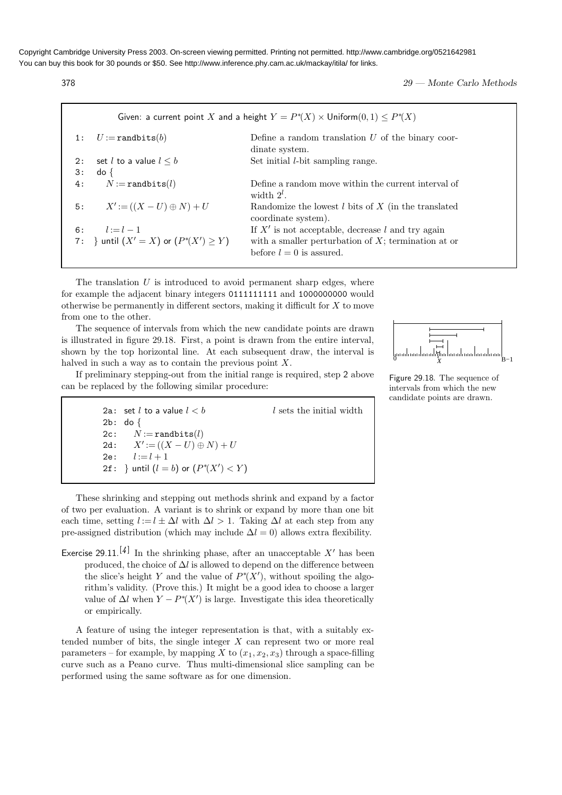378 29 — Monte Carlo Methods

Given: a current point  $X$  and a height  $Y = P^*(X) \times \text{Uniform}(0,1) \le P^*(X)$ 1:  $U := \text{randbits}(b)$  Define a random translation U of the binary coordinate system. 2: set *l* to a value  $l \leq b$  Set initial *l*-bit sampling range.<br>3: do { 3: do {<br>4:  $N := \text{randbits}(l)$ Define a random move within the current interval of width  $2^l$ . 5:  $X' := ((X - U) \oplus N) + U$ Randomize the lowest  $l$  bits of  $X$  (in the translated coordinate system). 6:  $l := l - 1$  If X' If  $X'$  is not acceptable, decrease l and try again 7: } until  $(X' = X)$  or  $(P^*\&X')$ with a smaller perturbation of  $X$ ; termination at or before  $l = 0$  is assured.

The translation  $U$  is introduced to avoid permanent sharp edges, where for example the adjacent binary integers 0111111111 and 1000000000 would otherwise be permanently in different sectors, making it difficult for  $X$  to move from one to the other.

The sequence of intervals from which the new candidate points are drawn is illustrated in figure 29.18. First, a point is drawn from the entire interval, shown by the top horizontal line. At each subsequent draw, the interval is halved in such a way as to contain the previous point  $X$ .

If preliminary stepping-out from the initial range is required, step 2 above can be replaced by the following similar procedure:

2a: set *l* to a value  $l < b$  l sets the initial width 2b: do  $\{$ <br>2c:  $N$  $N :=$ randbits $(l)$ 2d:  $X' := ((X - U) \oplus N) + U$ 2e:  $l := l + 1$ 2f: } until  $(l = b)$  or  $(P^*\,(X') < Y)$ 

Figure 29.18. The sequence of intervals from which the new candidate points are drawn.

0 *X* B−1

These shrinking and stepping out methods shrink and expand by a factor of two per evaluation. A variant is to shrink or expand by more than one bit each time, setting  $l := l \pm \Delta l$  with  $\Delta l > 1$ . Taking  $\Delta l$  at each step from any pre-assigned distribution (which may include  $\Delta l = 0$ ) allows extra flexibility.

Exercise 29.11.<sup>[4]</sup> In the shrinking phase, after an unacceptable  $X'$  has been produced, the choice of  $\Delta l$  is allowed to depend on the difference between the slice's height Y and the value of  $P^*(X')$ , without spoiling the algorithm's validity. (Prove this.) It might be a good idea to choose a larger value of  $\Delta l$  when  $Y - P^*(X')$  is large. Investigate this idea theoretically or empirically.

A feature of using the integer representation is that, with a suitably extended number of bits, the single integer  $X$  can represent two or more real parameters – for example, by mapping X to  $(x_1, x_2, x_3)$  through a space-filling curve such as a Peano curve. Thus multi-dimensional slice sampling can be performed using the same software as for one dimension.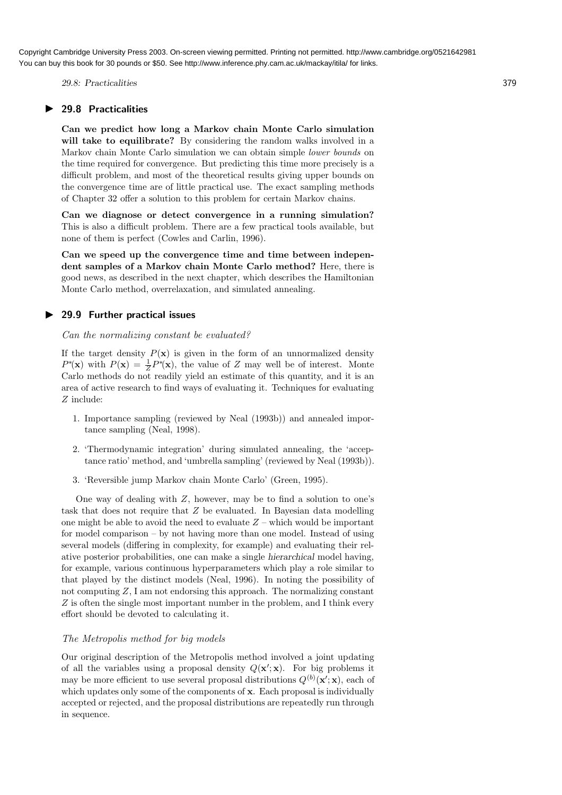29.8: Practicalities 379

# ▶ 29.8 Practicalities

Can we predict how long a Markov chain Monte Carlo simulation will take to equilibrate? By considering the random walks involved in a Markov chain Monte Carlo simulation we can obtain simple lower bounds on the time required for convergence. But predicting this time more precisely is a difficult problem, and most of the theoretical results giving upper bounds on the convergence time are of little practical use. The exact sampling methods of Chapter 32 offer a solution to this problem for certain Markov chains.

Can we diagnose or detect convergence in a running simulation? This is also a difficult problem. There are a few practical tools available, but none of them is perfect (Cowles and Carlin, 1996).

Can we speed up the convergence time and time between independent samples of a Markov chain Monte Carlo method? Here, there is good news, as described in the next chapter, which describes the Hamiltonian Monte Carlo method, overrelaxation, and simulated annealing.

# ▶ 29.9 Further practical issues

#### Can the normalizing constant be evaluated?

If the target density  $P(x)$  is given in the form of an unnormalized density  $P^*(\mathbf{x})$  with  $P(\mathbf{x}) = \frac{1}{Z}P^*(\mathbf{x})$ , the value of Z may well be of interest. Monte Carlo methods do not readily yield an estimate of this quantity, and it is an area of active research to find ways of evaluating it. Techniques for evaluating Z include:

- 1. Importance sampling (reviewed by Neal (1993b)) and annealed importance sampling (Neal, 1998).
- 2. 'Thermodynamic integration' during simulated annealing, the 'acceptance ratio' method, and 'umbrella sampling' (reviewed by Neal (1993b)).
- 3. 'Reversible jump Markov chain Monte Carlo' (Green, 1995).

One way of dealing with  $Z$ , however, may be to find a solution to one's task that does not require that Z be evaluated. In Bayesian data modelling one might be able to avoid the need to evaluate  $Z$  – which would be important for model comparison – by not having more than one model. Instead of using several models (differing in complexity, for example) and evaluating their relative posterior probabilities, one can make a single hierarchical model having, for example, various continuous hyperparameters which play a role similar to that played by the distinct models (Neal, 1996). In noting the possibility of not computing  $Z$ , I am not endorsing this approach. The normalizing constant Z is often the single most important number in the problem, and I think every effort should be devoted to calculating it.

### The Metropolis method for big models

Our original description of the Metropolis method involved a joint updating of all the variables using a proposal density  $Q(\mathbf{x}'; \mathbf{x})$ . For big problems it may be more efficient to use several proposal distributions  $Q^{(b)}(\mathbf{x}';\mathbf{x})$ , each of which updates only some of the components of  $x$ . Each proposal is individually accepted or rejected, and the proposal distributions are repeatedly run through in sequence.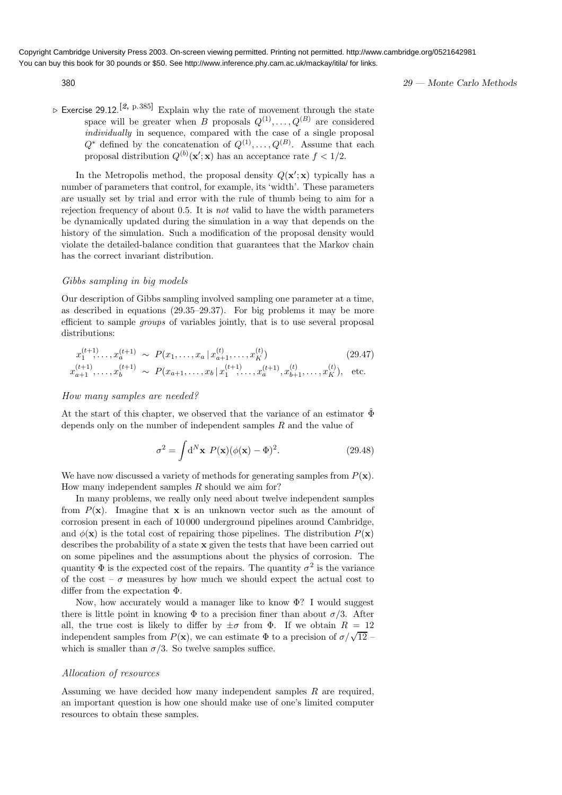380 29 — Monte Carlo Methods

 $\triangleright$  Exercise 29.12.<sup>[2, p.385]</sup> Explain why the rate of movement through the state space will be greater when B proposals  $Q^{(1)}, \ldots, Q^{(B)}$  are considered individually in sequence, compared with the case of a single proposal  $Q^*$  defined by the concatenation of  $Q^{(1)}, \ldots, Q^{(B)}$ . Assume that each proposal distribution  $Q^{(b)}(\mathbf{x}'; \mathbf{x})$  has an acceptance rate  $f < 1/2$ .

In the Metropolis method, the proposal density  $Q(\mathbf{x}';\mathbf{x})$  typically has a number of parameters that control, for example, its 'width'. These parameters are usually set by trial and error with the rule of thumb being to aim for a rejection frequency of about 0.5. It is not valid to have the width parameters be dynamically updated during the simulation in a way that depends on the history of the simulation. Such a modification of the proposal density would violate the detailed-balance condition that guarantees that the Markov chain has the correct invariant distribution.

#### Gibbs sampling in big models

Our description of Gibbs sampling involved sampling one parameter at a time, as described in equations (29.35–29.37). For big problems it may be more efficient to sample groups of variables jointly, that is to use several proposal distributions:

$$
x_1^{(t+1)}, \ldots, x_a^{(t+1)} \sim P(x_1, \ldots, x_a \mid x_{a+1}^{(t)}, \ldots, x_K^{(t)})
$$
\n
$$
x_{a+1}^{(t+1)}, \ldots, x_b^{(t+1)} \sim P(x_{a+1}, \ldots, x_b \mid x_1^{(t+1)}, \ldots, x_a^{(t+1)}, x_{b+1}^{(t)}, \ldots, x_K^{(t)}), \text{ etc.}
$$
\n(29.47)

#### How many samples are needed?

At the start of this chapter, we observed that the variance of an estimator  $\Phi$ depends only on the number of independent samples R and the value of

$$
\sigma^2 = \int d^N \mathbf{x} \ P(\mathbf{x}) (\phi(\mathbf{x}) - \Phi)^2.
$$
 (29.48)

We have now discussed a variety of methods for generating samples from  $P(\mathbf{x})$ . How many independent samples  $R$  should we aim for?

In many problems, we really only need about twelve independent samples from  $P(x)$ . Imagine that x is an unknown vector such as the amount of corrosion present in each of 10 000 underground pipelines around Cambridge, and  $\phi(\mathbf{x})$  is the total cost of repairing those pipelines. The distribution  $P(\mathbf{x})$ describes the probability of a state  $x$  given the tests that have been carried out on some pipelines and the assumptions about the physics of corrosion. The quantity  $\Phi$  is the expected cost of the repairs. The quantity  $\sigma^2$  is the variance of the cost –  $\sigma$  measures by how much we should expect the actual cost to differ from the expectation Φ.

Now, how accurately would a manager like to know  $\Phi$ ? I would suggest there is little point in knowing  $\Phi$  to a precision finer than about  $\sigma/3$ . After all, the true cost is likely to differ by  $\pm \sigma$  from  $\Phi$ . If we obtain  $R = 12$ independent samples from  $P(x)$ , we can estimate  $\Phi$  to a precision of  $\sigma/\sqrt{12}$  – which is smaller than  $\sigma/3$ . So twelve samples suffice.

### Allocation of resources

Assuming we have decided how many independent samples R are required, an important question is how one should make use of one's limited computer resources to obtain these samples.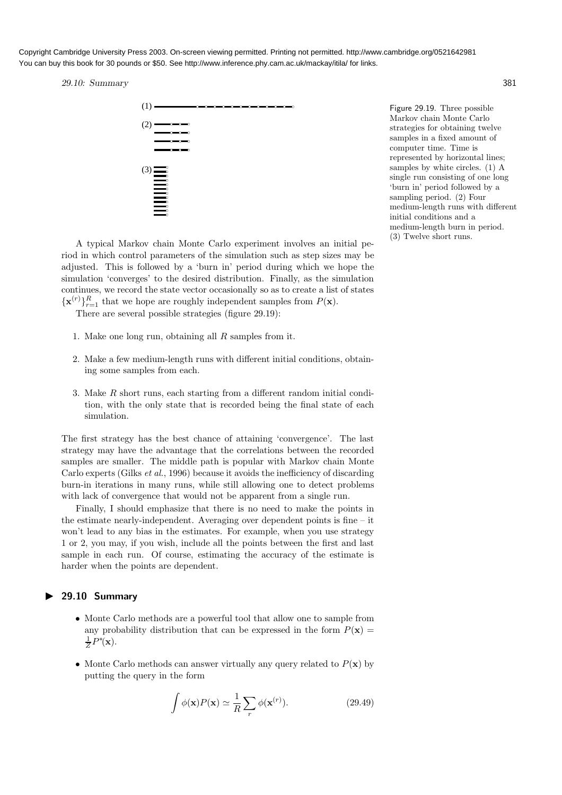29.10: Summary 381



A typical Markov chain Monte Carlo experiment involves an initial period in which control parameters of the simulation such as step sizes may be adjusted. This is followed by a 'burn in' period during which we hope the simulation 'converges' to the desired distribution. Finally, as the simulation continues, we record the state vector occasionally so as to create a list of states  ${x^{(r)}}_{r=1}^R$  that we hope are roughly independent samples from  $P(\mathbf{x})$ .

There are several possible strategies (figure 29.19):

- 1. Make one long run, obtaining all  $R$  samples from it.
- 2. Make a few medium-length runs with different initial conditions, obtaining some samples from each.
- 3. Make R short runs, each starting from a different random initial condition, with the only state that is recorded being the final state of each simulation.

The first strategy has the best chance of attaining 'convergence'. The last strategy may have the advantage that the correlations between the recorded samples are smaller. The middle path is popular with Markov chain Monte Carlo experts (Gilks et al., 1996) because it avoids the inefficiency of discarding burn-in iterations in many runs, while still allowing one to detect problems with lack of convergence that would not be apparent from a single run.

Finally, I should emphasize that there is no need to make the points in the estimate nearly-independent. Averaging over dependent points is fine – it won't lead to any bias in the estimates. For example, when you use strategy 1 or 2, you may, if you wish, include all the points between the first and last sample in each run. Of course, estimating the accuracy of the estimate is harder when the points are dependent.

# 29.10 Summary

- Monte Carlo methods are a powerful tool that allow one to sample from any probability distribution that can be expressed in the form  $P(\mathbf{x}) =$  $\frac{1}{Z}P^*(\mathbf{x}).$
- Monte Carlo methods can answer virtually any query related to  $P(\mathbf{x})$  by putting the query in the form

$$
\int \phi(\mathbf{x}) P(\mathbf{x}) \simeq \frac{1}{R} \sum_{r} \phi(\mathbf{x}^{(r)}).
$$
\n(29.49)

Figure 29.19. Three possible Markov chain Monte Carlo strategies for obtaining twelve samples in a fixed amount of computer time. Time is represented by horizontal lines; samples by white circles. (1) A single run consisting of one long 'burn in' period followed by a sampling period. (2) Four medium-length runs with different initial conditions and a medium-length burn in period. (3) Twelve short runs.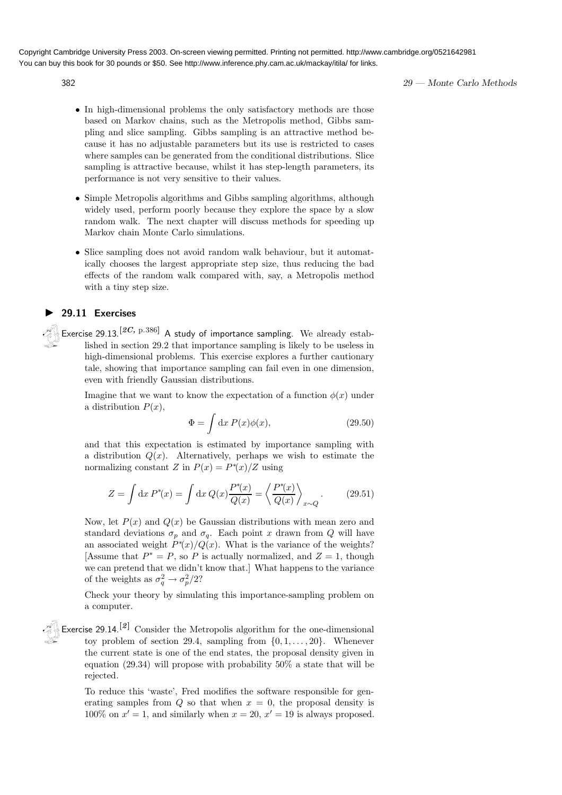382 29 — Monte Carlo Methods

- In high-dimensional problems the only satisfactory methods are those based on Markov chains, such as the Metropolis method, Gibbs sampling and slice sampling. Gibbs sampling is an attractive method because it has no adjustable parameters but its use is restricted to cases where samples can be generated from the conditional distributions. Slice sampling is attractive because, whilst it has step-length parameters, its performance is not very sensitive to their values.
- Simple Metropolis algorithms and Gibbs sampling algorithms, although widely used, perform poorly because they explore the space by a slow random walk. The next chapter will discuss methods for speeding up Markov chain Monte Carlo simulations.
- Slice sampling does not avoid random walk behaviour, but it automatically chooses the largest appropriate step size, thus reducing the bad effects of the random walk compared with, say, a Metropolis method with a tiny step size.

# ▶ 29.11 Exercises

Exercise 29.13.<sup>[2C, p.386]</sup> A study of importance sampling. We already established in section 29.2 that importance sampling is likely to be useless in high-dimensional problems. This exercise explores a further cautionary tale, showing that importance sampling can fail even in one dimension, even with friendly Gaussian distributions.

> Imagine that we want to know the expectation of a function  $\phi(x)$  under a distribution  $P(x)$ ,

$$
\Phi = \int \mathrm{d}x \, P(x)\phi(x),\tag{29.50}
$$

and that this expectation is estimated by importance sampling with a distribution  $Q(x)$ . Alternatively, perhaps we wish to estimate the normalizing constant Z in  $P(x) = P^*(x)/Z$  using

$$
Z = \int \mathrm{d}x \, P^*(x) = \int \mathrm{d}x \, Q(x) \frac{P^*(x)}{Q(x)} = \left\langle \frac{P^*(x)}{Q(x)} \right\rangle_{x \sim Q} . \tag{29.51}
$$

Now, let  $P(x)$  and  $Q(x)$  be Gaussian distributions with mean zero and standard deviations  $\sigma_p$  and  $\sigma_q$ . Each point x drawn from Q will have an associated weight  $P^*(x)/Q(x)$ . What is the variance of the weights? [Assume that  $P^* = P$ , so P is actually normalized, and  $Z = 1$ , though we can pretend that we didn't know that.] What happens to the variance of the weights as  $\sigma_q^2 \to \sigma_p^2/2$ ?

Check your theory by simulating this importance-sampling problem on a computer.

Exercise 29.14.<sup>[2]</sup> Consider the Metropolis algorithm for the one-dimensional toy problem of section 29.4, sampling from  $\{0, 1, \ldots, 20\}$ . Whenever the current state is one of the end states, the proposal density given in equation (29.34) will propose with probability 50% a state that will be rejected.

> To reduce this 'waste', Fred modifies the software responsible for generating samples from  $Q$  so that when  $x = 0$ , the proposal density is 100% on  $x' = 1$ , and similarly when  $x = 20$ ,  $x' = 19$  is always proposed.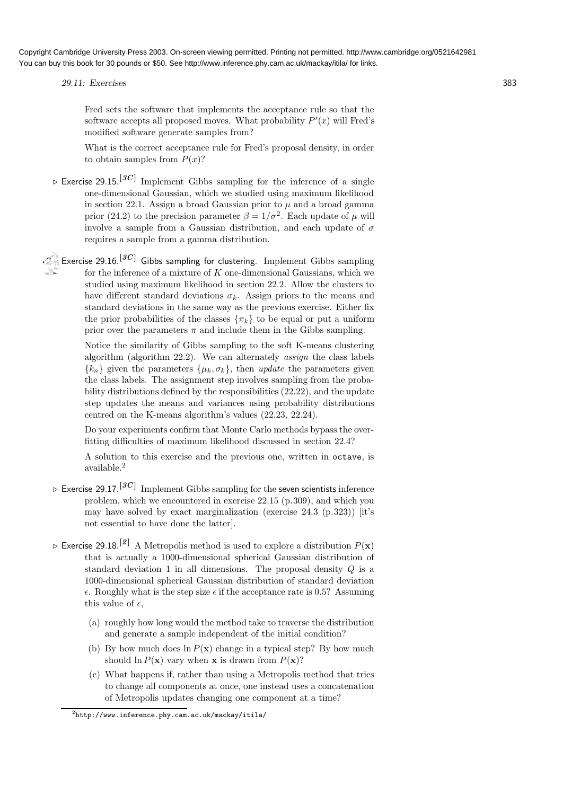29.11: Exercises 383

Fred sets the software that implements the acceptance rule so that the software accepts all proposed moves. What probability  $P'(x)$  will Fred's modified software generate samples from?

What is the correct acceptance rule for Fred's proposal density, in order to obtain samples from  $P(x)$ ?

 $\triangleright$  Exercise 29.15.<sup>[3C]</sup> Implement Gibbs sampling for the inference of a single one-dimensional Gaussian, which we studied using maximum likelihood in section 22.1. Assign a broad Gaussian prior to  $\mu$  and a broad gamma prior (24.2) to the precision parameter  $\beta = 1/\sigma^2$ . Each update of  $\mu$  will involve a sample from a Gaussian distribution, and each update of  $\sigma$ requires a sample from a gamma distribution.

 $\frac{1}{N}$  Exercise 29.16. $^{[\bm{3}C]}$  Gibbs sampling for clustering. Implement Gibbs sampling for the inference of a mixture of  $K$  one-dimensional Gaussians, which we studied using maximum likelihood in section 22.2. Allow the clusters to have different standard deviations  $\sigma_k$ . Assign priors to the means and standard deviations in the same way as the previous exercise. Either fix the prior probabilities of the classes  $\{\pi_k\}$  to be equal or put a uniform prior over the parameters  $\pi$  and include them in the Gibbs sampling.

Notice the similarity of Gibbs sampling to the soft K-means clustering algorithm (algorithm 22.2). We can alternately assign the class labels  ${k_n}$  given the parameters  ${\mu_k, \sigma_k}$ , then update the parameters given the class labels. The assignment step involves sampling from the probability distributions defined by the responsibilities (22.22), and the update step updates the means and variances using probability distributions centred on the K-means algorithm's values (22.23, 22.24).

Do your experiments confirm that Monte Carlo methods bypass the overfitting difficulties of maximum likelihood discussed in section 22.4?

A solution to this exercise and the previous one, written in octave, is available.<sup>2</sup>

- $\triangleright$  Exercise 29.17.  $^{[\mathcal{3}C]}$  Implement Gibbs sampling for the seven scientists inference problem, which we encountered in exercise 22.15 (p.309), and which you may have solved by exact marginalization (exercise 24.3 (p.323)) [it's not essential to have done the latter].
- $\triangleright$  Exercise 29.18.<sup>[2]</sup> A Metropolis method is used to explore a distribution  $P(\mathbf{x})$ that is actually a 1000-dimensional spherical Gaussian distribution of standard deviation 1 in all dimensions. The proposal density  $Q$  is a 1000-dimensional spherical Gaussian distribution of standard deviation  $\epsilon$ . Roughly what is the step size  $\epsilon$  if the acceptance rate is 0.5? Assuming this value of  $\epsilon$ ,
	- (a) roughly how long would the method take to traverse the distribution and generate a sample independent of the initial condition?
	- (b) By how much does  $\ln P(x)$  change in a typical step? By how much should  $\ln P(\mathbf{x})$  vary when **x** is drawn from  $P(\mathbf{x})$ ?
	- (c) What happens if, rather than using a Metropolis method that tries to change all components at once, one instead uses a concatenation of Metropolis updates changing one component at a time?

 $^2$ http://www.inference.phy.cam.ac.uk/mackay/itila/